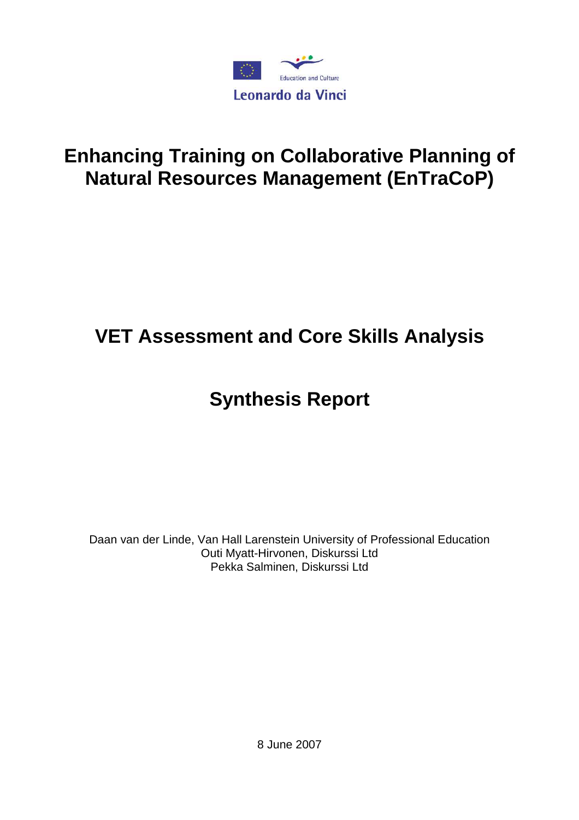

## **Enhancing Training on Collaborative Planning of Natural Resources Management (EnTraCoP)**

# **VET Assessment and Core Skills Analysis**

## **Synthesis Report**

Daan van der Linde, Van Hall Larenstein University of Professional Education Outi Myatt-Hirvonen, Diskurssi Ltd Pekka Salminen, Diskurssi Ltd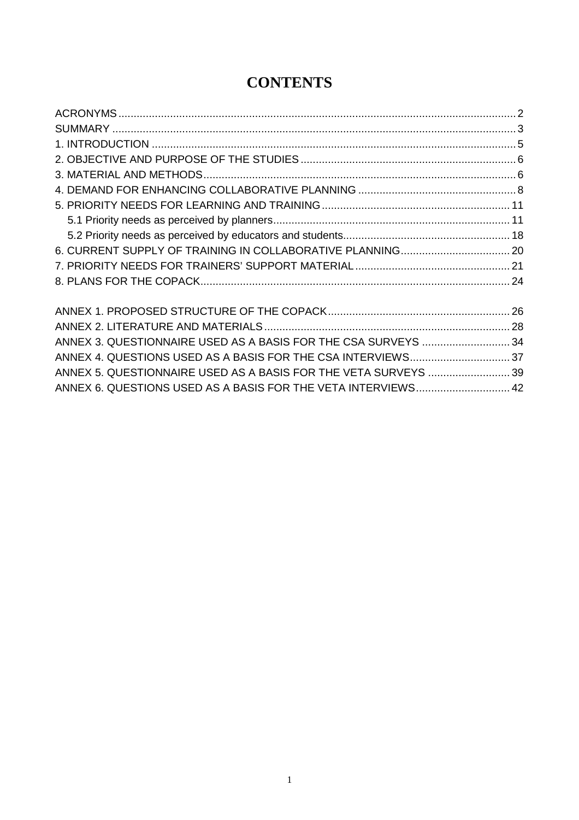| ANNEX 3. QUESTIONNAIRE USED AS A BASIS FOR THE CSA SURVEYS  34  |  |
|-----------------------------------------------------------------|--|
|                                                                 |  |
| ANNEX 5. QUESTIONNAIRE USED AS A BASIS FOR THE VETA SURVEYS  39 |  |
| ANNEX 6. QUESTIONS USED AS A BASIS FOR THE VETA INTERVIEWS 42   |  |
|                                                                 |  |

### **CONTENTS**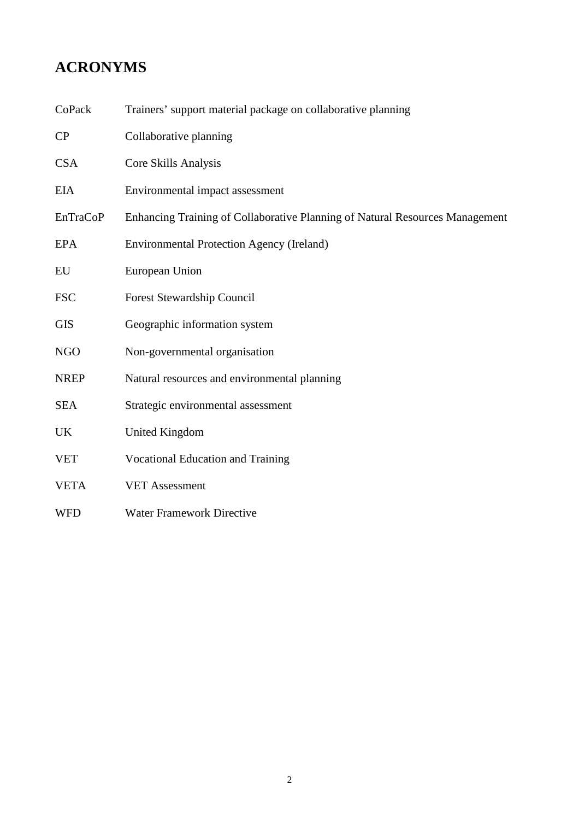## **ACRONYMS**

CoPack Trainers' support material package on collaborative planning

| CP              | Collaborative planning                                                       |
|-----------------|------------------------------------------------------------------------------|
| <b>CSA</b>      | Core Skills Analysis                                                         |
| <b>EIA</b>      | Environmental impact assessment                                              |
| <b>EnTraCoP</b> | Enhancing Training of Collaborative Planning of Natural Resources Management |
| <b>EPA</b>      | <b>Environmental Protection Agency (Ireland)</b>                             |
| EU              | European Union                                                               |
| <b>FSC</b>      | Forest Stewardship Council                                                   |
| <b>GIS</b>      | Geographic information system                                                |
| <b>NGO</b>      | Non-governmental organisation                                                |
| <b>NREP</b>     | Natural resources and environmental planning                                 |
| <b>SEA</b>      | Strategic environmental assessment                                           |
| <b>UK</b>       | United Kingdom                                                               |
| <b>VET</b>      | <b>Vocational Education and Training</b>                                     |
| <b>VETA</b>     | <b>VET Assessment</b>                                                        |
| <b>WFD</b>      | <b>Water Framework Directive</b>                                             |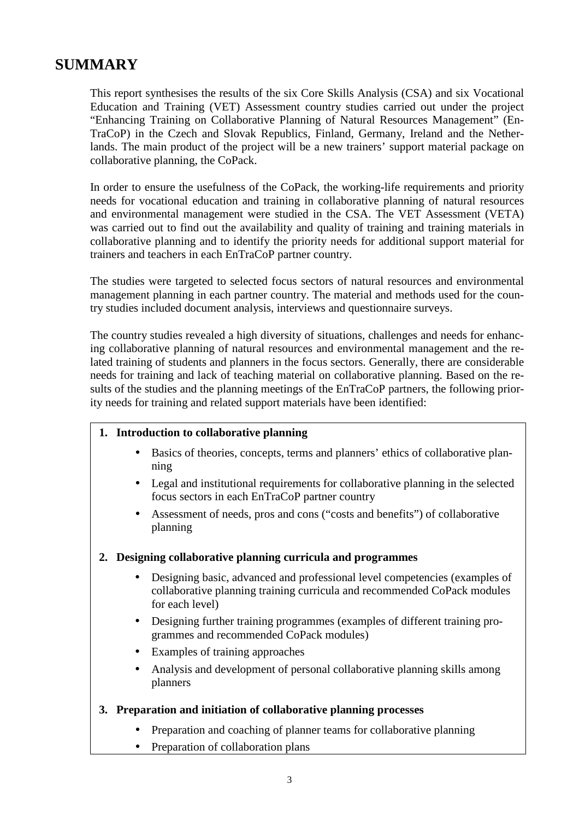### **SUMMARY**

This report synthesises the results of the six Core Skills Analysis (CSA) and six Vocational Education and Training (VET) Assessment country studies carried out under the project "Enhancing Training on Collaborative Planning of Natural Resources Management" (En-TraCoP) in the Czech and Slovak Republics, Finland, Germany, Ireland and the Netherlands. The main product of the project will be a new trainers' support material package on collaborative planning, the CoPack.

In order to ensure the usefulness of the CoPack, the working-life requirements and priority needs for vocational education and training in collaborative planning of natural resources and environmental management were studied in the CSA. The VET Assessment (VETA) was carried out to find out the availability and quality of training and training materials in collaborative planning and to identify the priority needs for additional support material for trainers and teachers in each EnTraCoP partner country.

The studies were targeted to selected focus sectors of natural resources and environmental management planning in each partner country. The material and methods used for the country studies included document analysis, interviews and questionnaire surveys.

The country studies revealed a high diversity of situations, challenges and needs for enhancing collaborative planning of natural resources and environmental management and the related training of students and planners in the focus sectors. Generally, there are considerable needs for training and lack of teaching material on collaborative planning. Based on the results of the studies and the planning meetings of the EnTraCoP partners, the following priority needs for training and related support materials have been identified:

### **1. Introduction to collaborative planning**

- Basics of theories, concepts, terms and planners' ethics of collaborative planning
- Legal and institutional requirements for collaborative planning in the selected focus sectors in each EnTraCoP partner country
- Assessment of needs, pros and cons ("costs and benefits") of collaborative planning

### **2. Designing collaborative planning curricula and programmes**

- Designing basic, advanced and professional level competencies (examples of collaborative planning training curricula and recommended CoPack modules for each level)
- Designing further training programmes (examples of different training programmes and recommended CoPack modules)
- Examples of training approaches
- Analysis and development of personal collaborative planning skills among planners

### **3. Preparation and initiation of collaborative planning processes**

- Preparation and coaching of planner teams for collaborative planning
- Preparation of collaboration plans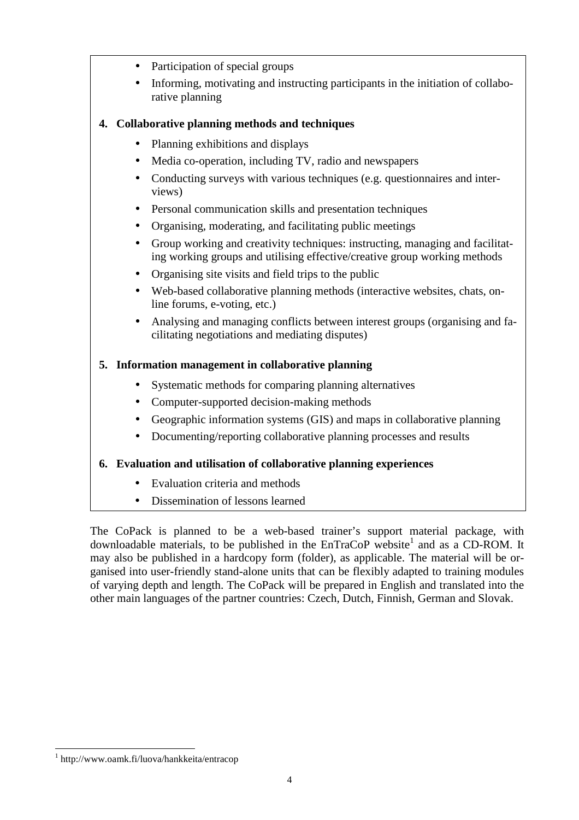- Participation of special groups
- Informing, motivating and instructing participants in the initiation of collaborative planning

### **4. Collaborative planning methods and techniques**

- Planning exhibitions and displays
- Media co-operation, including TV, radio and newspapers
- Conducting surveys with various techniques (e.g. questionnaires and interviews)
- Personal communication skills and presentation techniques
- Organising, moderating, and facilitating public meetings
- Group working and creativity techniques: instructing, managing and facilitating working groups and utilising effective/creative group working methods
- Organising site visits and field trips to the public
- Web-based collaborative planning methods (interactive websites, chats, online forums, e-voting, etc.)
- Analysing and managing conflicts between interest groups (organising and facilitating negotiations and mediating disputes)

### **5. Information management in collaborative planning**

- Systematic methods for comparing planning alternatives
- Computer-supported decision-making methods
- Geographic information systems (GIS) and maps in collaborative planning
- Documenting/reporting collaborative planning processes and results

### **6. Evaluation and utilisation of collaborative planning experiences**

- Evaluation criteria and methods
- Dissemination of lessons learned

The CoPack is planned to be a web-based trainer's support material package, with downloadable materials, to be published in the  $EnTraCoP$  website<sup>1</sup> and as a CD-ROM. It may also be published in a hardcopy form (folder), as applicable. The material will be organised into user-friendly stand-alone units that can be flexibly adapted to training modules of varying depth and length. The CoPack will be prepared in English and translated into the other main languages of the partner countries: Czech, Dutch, Finnish, German and Slovak.

 $\overline{a}$ 

<sup>1</sup> http://www.oamk.fi/luova/hankkeita/entracop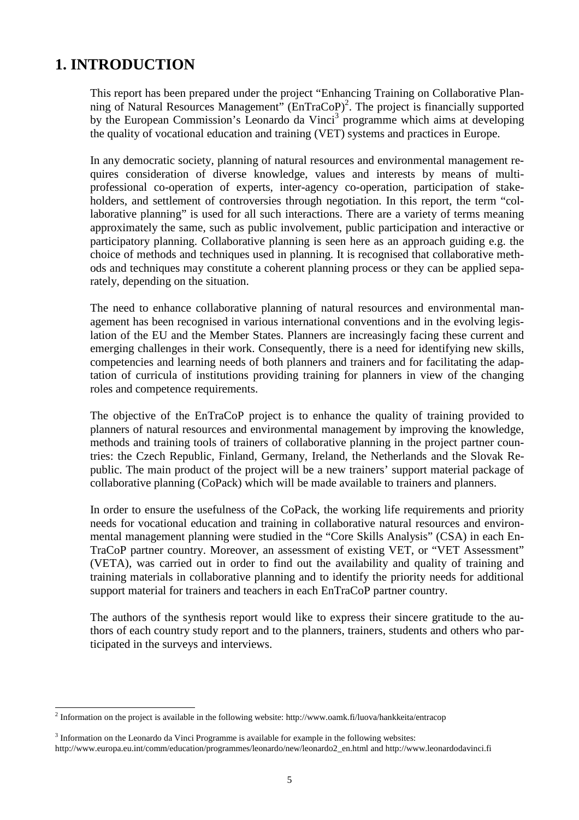### **1. INTRODUCTION**

This report has been prepared under the project "Enhancing Training on Collaborative Planning of Natural Resources Management" (EnTraCoP)<sup>2</sup>. The project is financially supported by the European Commission's Leonardo da Vinci<sup>3</sup> programme which aims at developing the quality of vocational education and training (VET) systems and practices in Europe.

In any democratic society, planning of natural resources and environmental management requires consideration of diverse knowledge, values and interests by means of multiprofessional co-operation of experts, inter-agency co-operation, participation of stakeholders, and settlement of controversies through negotiation. In this report, the term "collaborative planning" is used for all such interactions. There are a variety of terms meaning approximately the same, such as public involvement, public participation and interactive or participatory planning. Collaborative planning is seen here as an approach guiding e.g. the choice of methods and techniques used in planning. It is recognised that collaborative methods and techniques may constitute a coherent planning process or they can be applied separately, depending on the situation.

The need to enhance collaborative planning of natural resources and environmental management has been recognised in various international conventions and in the evolving legislation of the EU and the Member States. Planners are increasingly facing these current and emerging challenges in their work. Consequently, there is a need for identifying new skills, competencies and learning needs of both planners and trainers and for facilitating the adaptation of curricula of institutions providing training for planners in view of the changing roles and competence requirements.

The objective of the EnTraCoP project is to enhance the quality of training provided to planners of natural resources and environmental management by improving the knowledge, methods and training tools of trainers of collaborative planning in the project partner countries: the Czech Republic, Finland, Germany, Ireland, the Netherlands and the Slovak Republic. The main product of the project will be a new trainers' support material package of collaborative planning (CoPack) which will be made available to trainers and planners.

In order to ensure the usefulness of the CoPack, the working life requirements and priority needs for vocational education and training in collaborative natural resources and environmental management planning were studied in the "Core Skills Analysis" (CSA) in each En-TraCoP partner country. Moreover, an assessment of existing VET, or "VET Assessment" (VETA), was carried out in order to find out the availability and quality of training and training materials in collaborative planning and to identify the priority needs for additional support material for trainers and teachers in each EnTraCoP partner country.

The authors of the synthesis report would like to express their sincere gratitude to the authors of each country study report and to the planners, trainers, students and others who participated in the surveys and interviews.

 $\overline{\phantom{a}}$ 

<sup>&</sup>lt;sup>2</sup> Information on the project is available in the following website: http://www.oamk.fi/luova/hankkeita/entracop

 $3$  Information on the Leonardo da Vinci Programme is available for example in the following websites:

http://www.europa.eu.int/comm/education/programmes/leonardo/new/leonardo2\_en.html and http://www.leonardodavinci.fi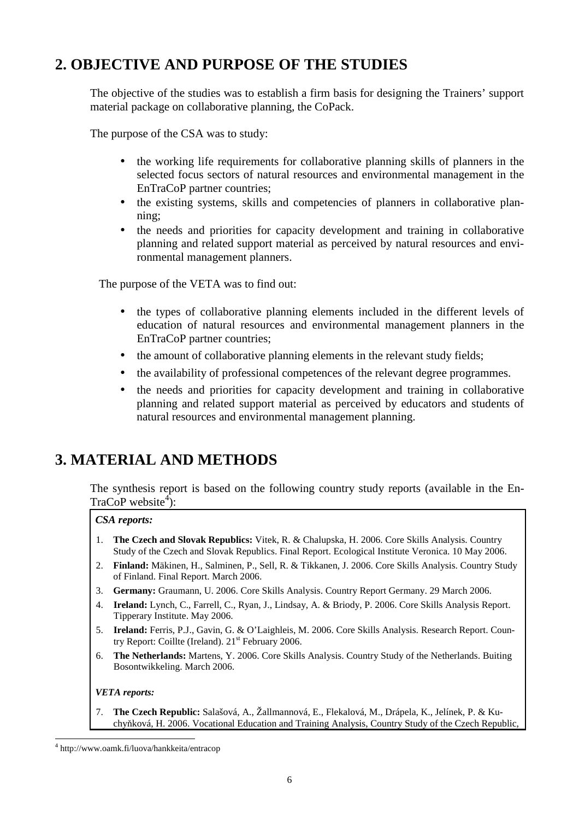### **2. OBJECTIVE AND PURPOSE OF THE STUDIES**

The objective of the studies was to establish a firm basis for designing the Trainers' support material package on collaborative planning, the CoPack.

The purpose of the CSA was to study:

- the working life requirements for collaborative planning skills of planners in the selected focus sectors of natural resources and environmental management in the EnTraCoP partner countries;
- the existing systems, skills and competencies of planners in collaborative planning;
- the needs and priorities for capacity development and training in collaborative planning and related support material as perceived by natural resources and environmental management planners.

The purpose of the VETA was to find out:

- the types of collaborative planning elements included in the different levels of education of natural resources and environmental management planners in the EnTraCoP partner countries;
- the amount of collaborative planning elements in the relevant study fields;
- the availability of professional competences of the relevant degree programmes.
- the needs and priorities for capacity development and training in collaborative planning and related support material as perceived by educators and students of natural resources and environmental management planning.

### **3. MATERIAL AND METHODS**

The synthesis report is based on the following country study reports (available in the En- $\text{TraCoP website}^4$ :

### *CSA reports:*

- 1. **The Czech and Slovak Republics:** Vitek, R. & Chalupska, H. 2006. Core Skills Analysis. Country Study of the Czech and Slovak Republics. Final Report. Ecological Institute Veronica. 10 May 2006.
- 2. **Finland:** Mäkinen, H., Salminen, P., Sell, R. & Tikkanen, J. 2006. Core Skills Analysis. Country Study of Finland. Final Report. March 2006.
- 3. **Germany:** Graumann, U. 2006. Core Skills Analysis. Country Report Germany. 29 March 2006.
- 4. **Ireland:** Lynch, C., Farrell, C., Ryan, J., Lindsay, A. & Briody, P. 2006. Core Skills Analysis Report. Tipperary Institute. May 2006.
- 5. **Ireland:** Ferris, P.J., Gavin, G. & O'Laighleis, M. 2006. Core Skills Analysis. Research Report. Country Report: Coillte (Ireland).  $21<sup>st</sup>$  February 2006.
- 6. **The Netherlands:** Martens, Y. 2006. Core Skills Analysis. Country Study of the Netherlands. Buiting Bosontwikkeling. March 2006.

#### *VETA reports:*

 $\overline{a}$ 

7. **The Czech Republic:** Salašová, A., Žallmannová, E., Flekalová, M., Drápela, K., Jelínek, P. & Kuchyňková, H. 2006. Vocational Education and Training Analysis, Country Study of the Czech Republic,

<sup>4</sup> http://www.oamk.fi/luova/hankkeita/entracop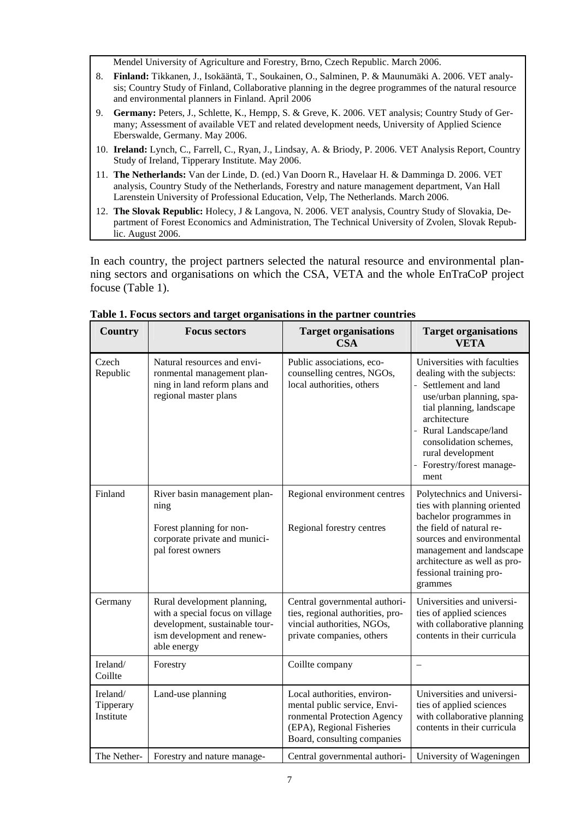Mendel University of Agriculture and Forestry, Brno, Czech Republic. March 2006.

- 8. **Finland:** Tikkanen, J., Isokääntä, T., Soukainen, O., Salminen, P. & Maunumäki A. 2006. VET analysis; Country Study of Finland, Collaborative planning in the degree programmes of the natural resource and environmental planners in Finland. April 2006
- 9. **Germany:** Peters, J., Schlette, K., Hempp, S. & Greve, K. 2006. VET analysis; Country Study of Germany; Assessment of available VET and related development needs, University of Applied Science Eberswalde, Germany. May 2006.
- 10. **Ireland:** Lynch, C., Farrell, C., Ryan, J., Lindsay, A. & Briody, P. 2006. VET Analysis Report, Country Study of Ireland, Tipperary Institute. May 2006.
- 11. **The Netherlands:** Van der Linde, D. (ed.) Van Doorn R., Havelaar H. & Damminga D. 2006. VET analysis, Country Study of the Netherlands, Forestry and nature management department, Van Hall Larenstein University of Professional Education, Velp, The Netherlands. March 2006.
- 12. **The Slovak Republic:** Holecy, J & Langova, N. 2006. VET analysis, Country Study of Slovakia, Department of Forest Economics and Administration, The Technical University of Zvolen, Slovak Republic. August 2006.

In each country, the project partners selected the natural resource and environmental planning sectors and organisations on which the CSA, VETA and the whole EnTraCoP project focuse (Table 1).

| <b>Country</b>                     | <b>Focus sectors</b>                                                                                                                          | <b>Target organisations</b><br><b>CSA</b>                                                                                                              | <b>Target organisations</b><br><b>VETA</b>                                                                                                                                                                                                                             |
|------------------------------------|-----------------------------------------------------------------------------------------------------------------------------------------------|--------------------------------------------------------------------------------------------------------------------------------------------------------|------------------------------------------------------------------------------------------------------------------------------------------------------------------------------------------------------------------------------------------------------------------------|
| Czech<br>Republic                  | Natural resources and envi-<br>ronmental management plan-<br>ning in land reform plans and<br>regional master plans                           | Public associations, eco-<br>counselling centres, NGOs,<br>local authorities, others                                                                   | Universities with faculties<br>dealing with the subjects:<br>- Settlement and land<br>use/urban planning, spa-<br>tial planning, landscape<br>architecture<br>Rural Landscape/land<br>consolidation schemes,<br>rural development<br>- Forestry/forest manage-<br>ment |
| Finland                            | River basin management plan-<br>ning<br>Forest planning for non-<br>corporate private and munici-<br>pal forest owners                        | Regional environment centres<br>Regional forestry centres                                                                                              | Polytechnics and Universi-<br>ties with planning oriented<br>bachelor programmes in<br>the field of natural re-<br>sources and environmental<br>management and landscape<br>architecture as well as pro-<br>fessional training pro-<br>grammes                         |
| Germany                            | Rural development planning,<br>with a special focus on village<br>development, sustainable tour-<br>ism development and renew-<br>able energy | Central governmental authori-<br>ties, regional authorities, pro-<br>vincial authorities, NGOs,<br>private companies, others                           | Universities and universi-<br>ties of applied sciences<br>with collaborative planning<br>contents in their curricula                                                                                                                                                   |
| Ireland/<br>Coillte                | Forestry                                                                                                                                      | Coillte company                                                                                                                                        |                                                                                                                                                                                                                                                                        |
| Ireland/<br>Tipperary<br>Institute | Land-use planning                                                                                                                             | Local authorities, environ-<br>mental public service, Envi-<br>ronmental Protection Agency<br>(EPA), Regional Fisheries<br>Board, consulting companies | Universities and universi-<br>ties of applied sciences<br>with collaborative planning<br>contents in their curricula                                                                                                                                                   |
| The Nether-                        | Forestry and nature manage-                                                                                                                   | Central governmental authori-                                                                                                                          | University of Wageningen                                                                                                                                                                                                                                               |

**Table 1. Focus sectors and target organisations in the partner countries**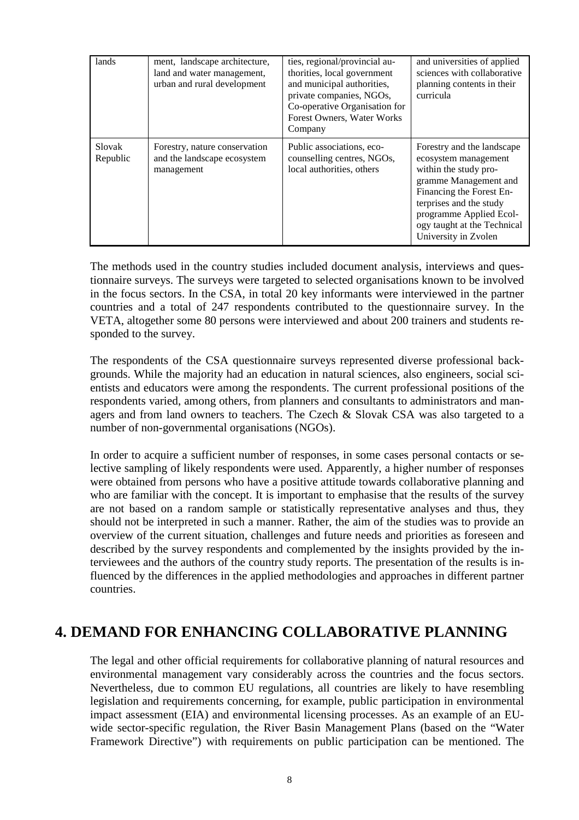| lands              | ment, landscape architecture,<br>land and water management,<br>urban and rural development | ties, regional/provincial au-<br>thorities, local government<br>and municipal authorities,<br>private companies, NGOs,<br>Co-operative Organisation for<br>Forest Owners, Water Works<br>Company | and universities of applied<br>sciences with collaborative<br>planning contents in their<br>curricula                                                                                                                                         |
|--------------------|--------------------------------------------------------------------------------------------|--------------------------------------------------------------------------------------------------------------------------------------------------------------------------------------------------|-----------------------------------------------------------------------------------------------------------------------------------------------------------------------------------------------------------------------------------------------|
| Slovak<br>Republic | Forestry, nature conservation<br>and the landscape ecosystem<br>management                 | Public associations, eco-<br>counselling centres, NGOs,<br>local authorities, others                                                                                                             | Forestry and the landscape<br>ecosystem management<br>within the study pro-<br>gramme Management and<br>Financing the Forest En-<br>terprises and the study<br>programme Applied Ecol-<br>ogy taught at the Technical<br>University in Zvolen |

The methods used in the country studies included document analysis, interviews and questionnaire surveys. The surveys were targeted to selected organisations known to be involved in the focus sectors. In the CSA, in total 20 key informants were interviewed in the partner countries and a total of 247 respondents contributed to the questionnaire survey. In the VETA, altogether some 80 persons were interviewed and about 200 trainers and students responded to the survey.

The respondents of the CSA questionnaire surveys represented diverse professional backgrounds. While the majority had an education in natural sciences, also engineers, social scientists and educators were among the respondents. The current professional positions of the respondents varied, among others, from planners and consultants to administrators and managers and from land owners to teachers. The Czech & Slovak CSA was also targeted to a number of non-governmental organisations (NGOs).

In order to acquire a sufficient number of responses, in some cases personal contacts or selective sampling of likely respondents were used. Apparently, a higher number of responses were obtained from persons who have a positive attitude towards collaborative planning and who are familiar with the concept. It is important to emphasise that the results of the survey are not based on a random sample or statistically representative analyses and thus, they should not be interpreted in such a manner. Rather, the aim of the studies was to provide an overview of the current situation, challenges and future needs and priorities as foreseen and described by the survey respondents and complemented by the insights provided by the interviewees and the authors of the country study reports. The presentation of the results is influenced by the differences in the applied methodologies and approaches in different partner countries.

### **4. DEMAND FOR ENHANCING COLLABORATIVE PLANNING**

The legal and other official requirements for collaborative planning of natural resources and environmental management vary considerably across the countries and the focus sectors. Nevertheless, due to common EU regulations, all countries are likely to have resembling legislation and requirements concerning, for example, public participation in environmental impact assessment (EIA) and environmental licensing processes. As an example of an EUwide sector-specific regulation, the River Basin Management Plans (based on the "Water Framework Directive") with requirements on public participation can be mentioned. The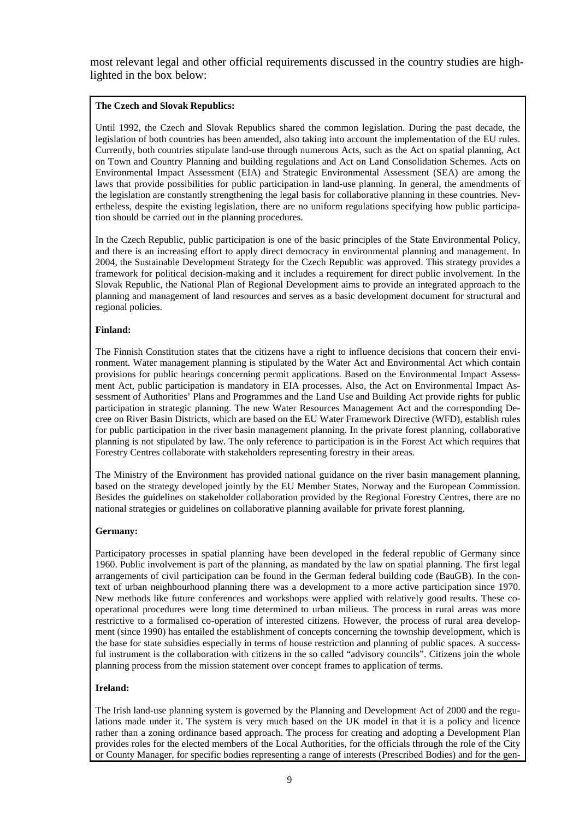most relevant legal and other official requirements discussed in the country studies are highlighted in the box below:

#### **The Czech and Slovak Republics:**

Until 1992, the Czech and Slovak Republics shared the common legislation. During the past decade, the legislation of both countries has been amended, also taking into account the implementation of the EU rules. Currently, both countries stipulate land-use through numerous Acts, such as the Act on spatial planning, Act on Town and Country Planning and building regulations and Act on Land Consolidation Schemes. Acts on Environmental Impact Assessment (EIA) and Strategic Environmental Assessment (SEA) are among the laws that provide possibilities for public participation in land-use planning. In general, the amendments of the legislation are constantly strengthening the legal basis for collaborative planning in these countries. Nevertheless, despite the existing legislation, there are no uniform regulations specifying how public participation should be carried out in the planning procedures.

In the Czech Republic, public participation is one of the basic principles of the State Environmental Policy, and there is an increasing effort to apply direct democracy in environmental planning and management. In 2004, the Sustainable Development Strategy for the Czech Republic was approved. This strategy provides a framework for political decision-making and it includes a requirement for direct public involvement. In the Slovak Republic, the National Plan of Regional Development aims to provide an integrated approach to the planning and management of land resources and serves as a basic development document for structural and regional policies.

#### **Finland:**

The Finnish Constitution states that the citizens have a right to influence decisions that concern their environment. Water management planning is stipulated by the Water Act and Environmental Act which contain provisions for public hearings concerning permit applications. Based on the Environmental Impact Assessment Act, public participation is mandatory in EIA processes. Also, the Act on Environmental Impact Assessment of Authorities' Plans and Programmes and the Land Use and Building Act provide rights for public participation in strategic planning. The new Water Resources Management Act and the corresponding Decree on River Basin Districts, which are based on the EU Water Framework Directive (WFD), establish rules for public participation in the river basin management planning. In the private forest planning, collaborative planning is not stipulated by law. The only reference to participation is in the Forest Act which requires that Forestry Centres collaborate with stakeholders representing forestry in their areas.

The Ministry of the Environment has provided national guidance on the river basin management planning, based on the strategy developed jointly by the EU Member States, Norway and the European Commission. Besides the guidelines on stakeholder collaboration provided by the Regional Forestry Centres, there are no national strategies or guidelines on collaborative planning available for private forest planning.

#### **Germany:**

Participatory processes in spatial planning have been developed in the federal republic of Germany since 1960. Public involvement is part of the planning, as mandated by the law on spatial planning. The first legal arrangements of civil participation can be found in the German federal building code (BauGB). In the context of urban neighbourhood planning there was a development to a more active participation since 1970. New methods like future conferences and workshops were applied with relatively good results. These cooperational procedures were long time determined to urban milieus. The process in rural areas was more restrictive to a formalised co-operation of interested citizens. However, the process of rural area development (since 1990) has entailed the establishment of concepts concerning the township development, which is the base for state subsidies especially in terms of house restriction and planning of public spaces. A successful instrument is the collaboration with citizens in the so called "advisory councils". Citizens join the whole planning process from the mission statement over concept frames to application of terms.

#### **Ireland:**

The Irish land-use planning system is governed by the Planning and Development Act of 2000 and the regulations made under it. The system is very much based on the UK model in that it is a policy and licence rather than a zoning ordinance based approach. The process for creating and adopting a Development Plan provides roles for the elected members of the Local Authorities, for the officials through the role of the City or County Manager, for specific bodies representing a range of interests (Prescribed Bodies) and for the gen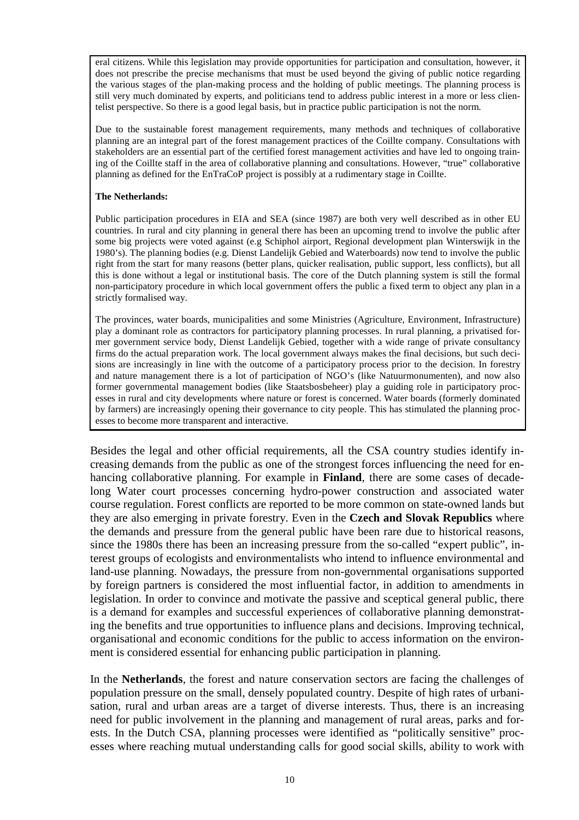eral citizens. While this legislation may provide opportunities for participation and consultation, however, it does not prescribe the precise mechanisms that must be used beyond the giving of public notice regarding the various stages of the plan-making process and the holding of public meetings. The planning process is still very much dominated by experts, and politicians tend to address public interest in a more or less clientelist perspective. So there is a good legal basis, but in practice public participation is not the norm.

Due to the sustainable forest management requirements, many methods and techniques of collaborative planning are an integral part of the forest management practices of the Coillte company. Consultations with stakeholders are an essential part of the certified forest management activities and have led to ongoing training of the Coillte staff in the area of collaborative planning and consultations. However, "true" collaborative planning as defined for the EnTraCoP project is possibly at a rudimentary stage in Coillte.

#### **The Netherlands:**

Public participation procedures in EIA and SEA (since 1987) are both very well described as in other EU countries. In rural and city planning in general there has been an upcoming trend to involve the public after some big projects were voted against (e.g Schiphol airport, Regional development plan Winterswijk in the 1980's). The planning bodies (e.g. Dienst Landelijk Gebied and Waterboards) now tend to involve the public right from the start for many reasons (better plans, quicker realisation, public support, less conflicts), but all this is done without a legal or institutional basis. The core of the Dutch planning system is still the formal non-participatory procedure in which local government offers the public a fixed term to object any plan in a strictly formalised way.

The provinces, water boards, municipalities and some Ministries (Agriculture, Environment, Infrastructure) play a dominant role as contractors for participatory planning processes. In rural planning, a privatised former government service body, Dienst Landelijk Gebied, together with a wide range of private consultancy firms do the actual preparation work. The local government always makes the final decisions, but such decisions are increasingly in line with the outcome of a participatory process prior to the decision. In forestry and nature management there is a lot of participation of NGO's (like Natuurmonumenten), and now also former governmental management bodies (like Staatsbosbeheer) play a guiding role in participatory processes in rural and city developments where nature or forest is concerned. Water boards (formerly dominated by farmers) are increasingly opening their governance to city people. This has stimulated the planning processes to become more transparent and interactive.

Besides the legal and other official requirements, all the CSA country studies identify increasing demands from the public as one of the strongest forces influencing the need for enhancing collaborative planning. For example in **Finland**, there are some cases of decadelong Water court processes concerning hydro-power construction and associated water course regulation. Forest conflicts are reported to be more common on state-owned lands but they are also emerging in private forestry. Even in the **Czech and Slovak Republics** where the demands and pressure from the general public have been rare due to historical reasons, since the 1980s there has been an increasing pressure from the so-called "expert public", interest groups of ecologists and environmentalists who intend to influence environmental and land-use planning. Nowadays, the pressure from non-governmental organisations supported by foreign partners is considered the most influential factor, in addition to amendments in legislation. In order to convince and motivate the passive and sceptical general public, there is a demand for examples and successful experiences of collaborative planning demonstrating the benefits and true opportunities to influence plans and decisions. Improving technical, organisational and economic conditions for the public to access information on the environment is considered essential for enhancing public participation in planning.

In the **Netherlands**, the forest and nature conservation sectors are facing the challenges of population pressure on the small, densely populated country. Despite of high rates of urbanisation, rural and urban areas are a target of diverse interests. Thus, there is an increasing need for public involvement in the planning and management of rural areas, parks and forests. In the Dutch CSA, planning processes were identified as "politically sensitive" processes where reaching mutual understanding calls for good social skills, ability to work with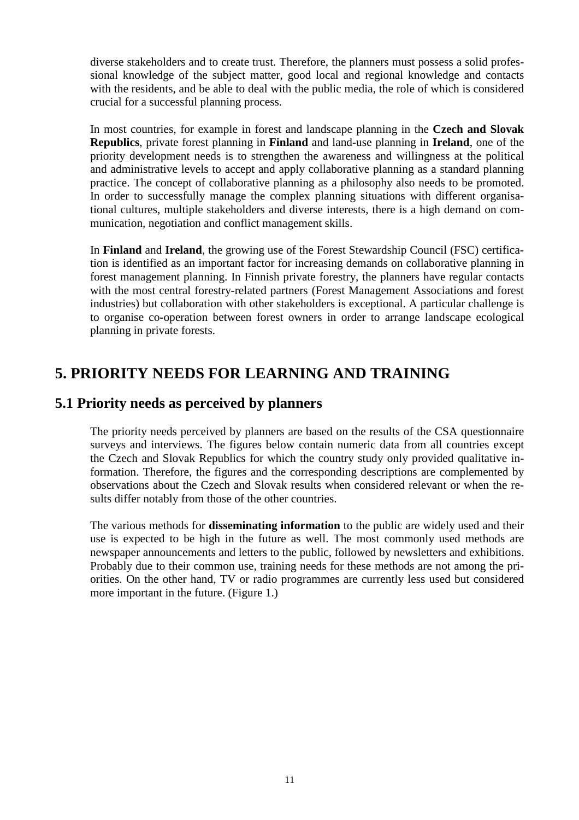diverse stakeholders and to create trust. Therefore, the planners must possess a solid professional knowledge of the subject matter, good local and regional knowledge and contacts with the residents, and be able to deal with the public media, the role of which is considered crucial for a successful planning process.

In most countries, for example in forest and landscape planning in the **Czech and Slovak Republics**, private forest planning in **Finland** and land-use planning in **Ireland**, one of the priority development needs is to strengthen the awareness and willingness at the political and administrative levels to accept and apply collaborative planning as a standard planning practice. The concept of collaborative planning as a philosophy also needs to be promoted. In order to successfully manage the complex planning situations with different organisational cultures, multiple stakeholders and diverse interests, there is a high demand on communication, negotiation and conflict management skills.

In **Finland** and **Ireland**, the growing use of the Forest Stewardship Council (FSC) certification is identified as an important factor for increasing demands on collaborative planning in forest management planning. In Finnish private forestry, the planners have regular contacts with the most central forestry-related partners (Forest Management Associations and forest industries) but collaboration with other stakeholders is exceptional. A particular challenge is to organise co-operation between forest owners in order to arrange landscape ecological planning in private forests.

### **5. PRIORITY NEEDS FOR LEARNING AND TRAINING**

### **5.1 Priority needs as perceived by planners**

The priority needs perceived by planners are based on the results of the CSA questionnaire surveys and interviews. The figures below contain numeric data from all countries except the Czech and Slovak Republics for which the country study only provided qualitative information. Therefore, the figures and the corresponding descriptions are complemented by observations about the Czech and Slovak results when considered relevant or when the results differ notably from those of the other countries.

The various methods for **disseminating information** to the public are widely used and their use is expected to be high in the future as well. The most commonly used methods are newspaper announcements and letters to the public, followed by newsletters and exhibitions. Probably due to their common use, training needs for these methods are not among the priorities. On the other hand, TV or radio programmes are currently less used but considered more important in the future. (Figure 1.)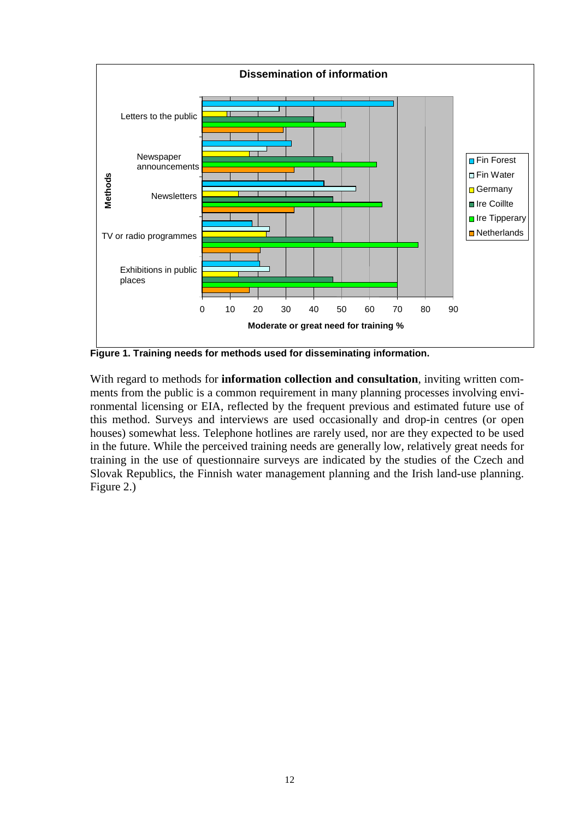

**Figure 1. Training needs for methods used for disseminating information.** 

With regard to methods for **information collection and consultation**, inviting written comments from the public is a common requirement in many planning processes involving environmental licensing or EIA, reflected by the frequent previous and estimated future use of this method. Surveys and interviews are used occasionally and drop-in centres (or open houses) somewhat less. Telephone hotlines are rarely used, nor are they expected to be used in the future. While the perceived training needs are generally low, relatively great needs for training in the use of questionnaire surveys are indicated by the studies of the Czech and Slovak Republics, the Finnish water management planning and the Irish land-use planning. Figure 2.)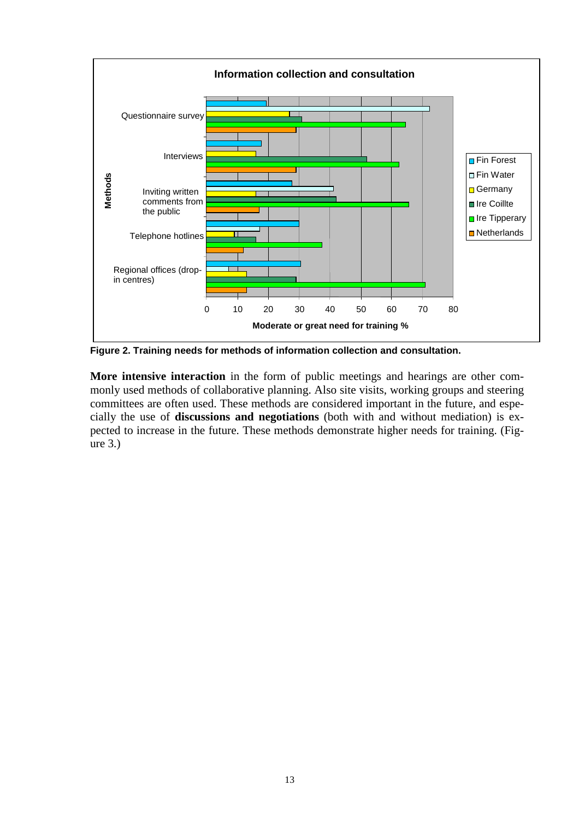

**Figure 2. Training needs for methods of information collection and consultation.** 

**More intensive interaction** in the form of public meetings and hearings are other commonly used methods of collaborative planning. Also site visits, working groups and steering committees are often used. These methods are considered important in the future, and especially the use of **discussions and negotiations** (both with and without mediation) is expected to increase in the future. These methods demonstrate higher needs for training. (Figure 3.)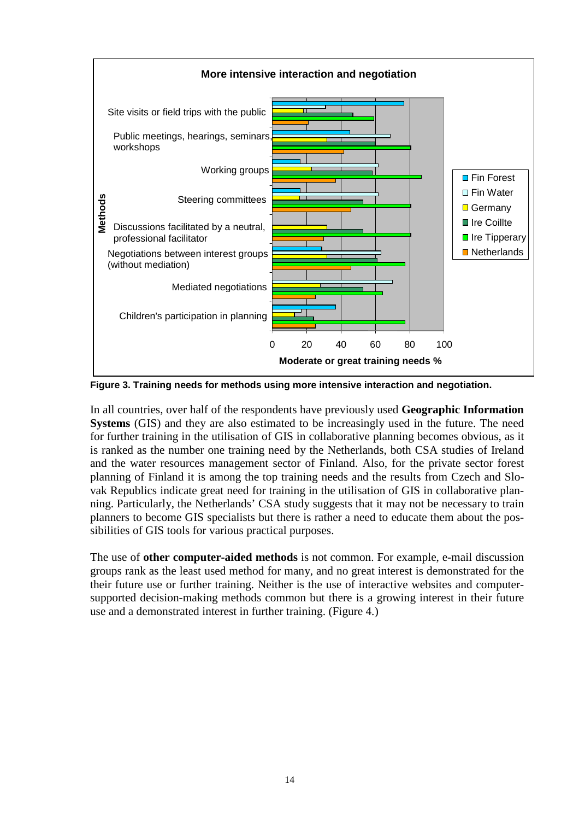

**Figure 3. Training needs for methods using more intensive interaction and negotiation.** 

In all countries, over half of the respondents have previously used **Geographic Information Systems** (GIS) and they are also estimated to be increasingly used in the future. The need for further training in the utilisation of GIS in collaborative planning becomes obvious, as it is ranked as the number one training need by the Netherlands, both CSA studies of Ireland and the water resources management sector of Finland. Also, for the private sector forest planning of Finland it is among the top training needs and the results from Czech and Slovak Republics indicate great need for training in the utilisation of GIS in collaborative planning. Particularly, the Netherlands' CSA study suggests that it may not be necessary to train planners to become GIS specialists but there is rather a need to educate them about the possibilities of GIS tools for various practical purposes.

The use of **other computer-aided methods** is not common. For example, e-mail discussion groups rank as the least used method for many, and no great interest is demonstrated for the their future use or further training. Neither is the use of interactive websites and computersupported decision-making methods common but there is a growing interest in their future use and a demonstrated interest in further training. (Figure 4.)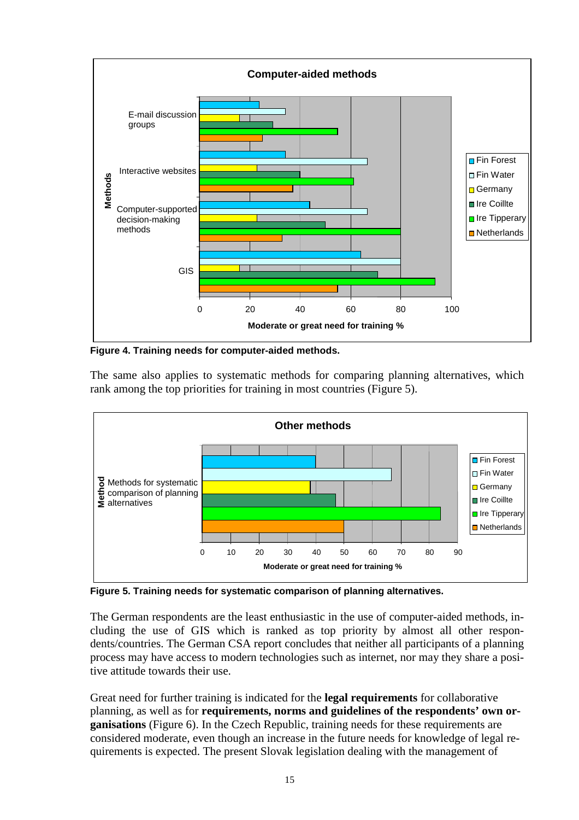

**Figure 4. Training needs for computer-aided methods.** 

The same also applies to systematic methods for comparing planning alternatives, which rank among the top priorities for training in most countries (Figure 5).



**Figure 5. Training needs for systematic comparison of planning alternatives.** 

The German respondents are the least enthusiastic in the use of computer-aided methods, including the use of GIS which is ranked as top priority by almost all other respondents/countries. The German CSA report concludes that neither all participants of a planning process may have access to modern technologies such as internet, nor may they share a positive attitude towards their use.

Great need for further training is indicated for the **legal requirements** for collaborative planning, as well as for **requirements, norms and guidelines of the respondents' own organisations** (Figure 6). In the Czech Republic, training needs for these requirements are considered moderate, even though an increase in the future needs for knowledge of legal requirements is expected. The present Slovak legislation dealing with the management of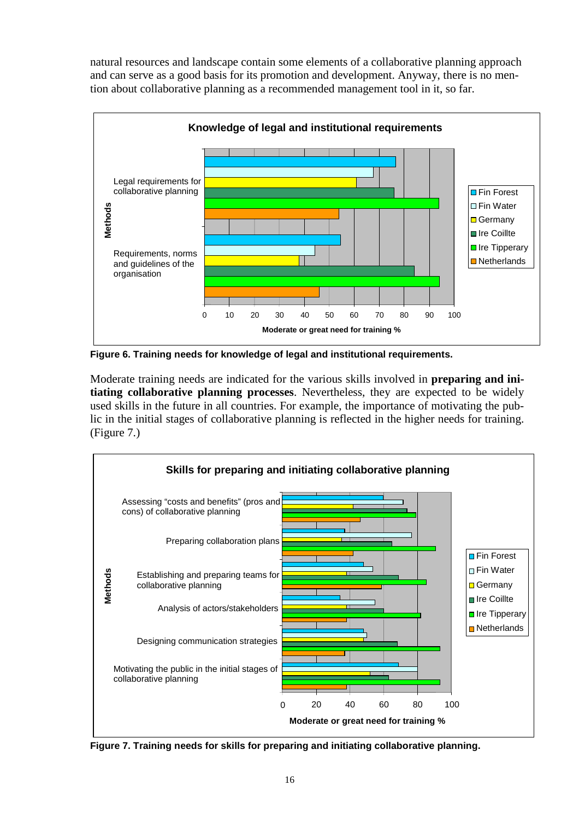natural resources and landscape contain some elements of a collaborative planning approach and can serve as a good basis for its promotion and development. Anyway, there is no mention about collaborative planning as a recommended management tool in it, so far.



**Figure 6. Training needs for knowledge of legal and institutional requirements.** 

Moderate training needs are indicated for the various skills involved in **preparing and initiating collaborative planning processes**. Nevertheless, they are expected to be widely used skills in the future in all countries. For example, the importance of motivating the public in the initial stages of collaborative planning is reflected in the higher needs for training. (Figure 7.)



**Figure 7. Training needs for skills for preparing and initiating collaborative planning.**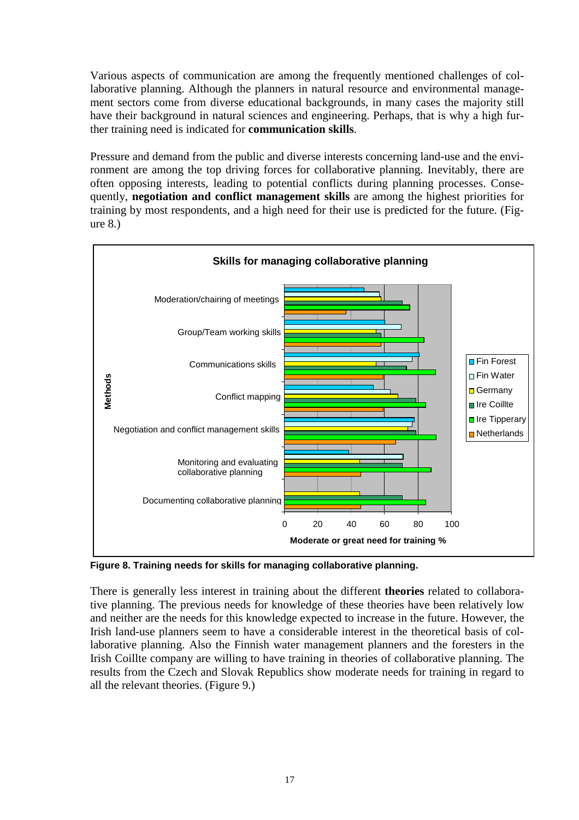Various aspects of communication are among the frequently mentioned challenges of collaborative planning. Although the planners in natural resource and environmental management sectors come from diverse educational backgrounds, in many cases the majority still have their background in natural sciences and engineering. Perhaps, that is why a high further training need is indicated for **communication skills**.

Pressure and demand from the public and diverse interests concerning land-use and the environment are among the top driving forces for collaborative planning. Inevitably, there are often opposing interests, leading to potential conflicts during planning processes. Consequently, **negotiation and conflict management skills** are among the highest priorities for training by most respondents, and a high need for their use is predicted for the future. (Figure 8.)



**Figure 8. Training needs for skills for managing collaborative planning.** 

There is generally less interest in training about the different **theories** related to collaborative planning. The previous needs for knowledge of these theories have been relatively low and neither are the needs for this knowledge expected to increase in the future. However, the Irish land-use planners seem to have a considerable interest in the theoretical basis of collaborative planning. Also the Finnish water management planners and the foresters in the Irish Coillte company are willing to have training in theories of collaborative planning. The results from the Czech and Slovak Republics show moderate needs for training in regard to all the relevant theories. (Figure 9.)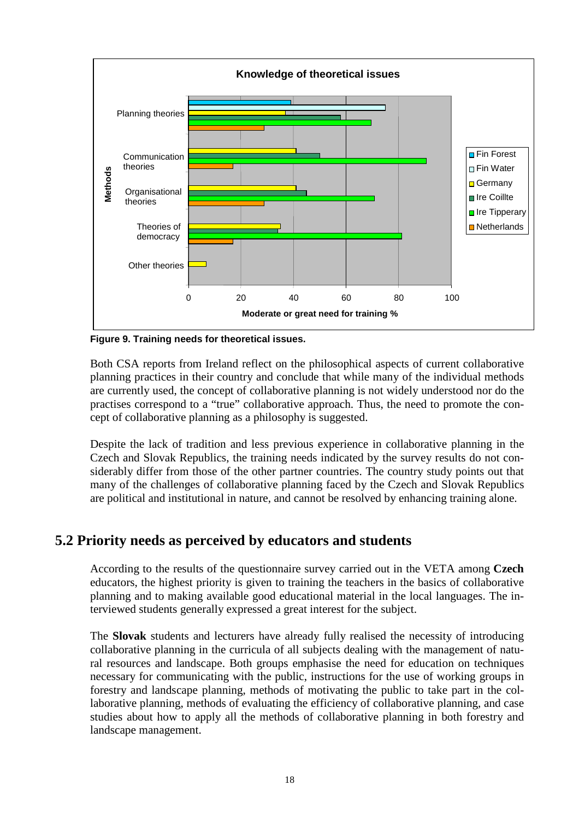

**Figure 9. Training needs for theoretical issues.** 

Both CSA reports from Ireland reflect on the philosophical aspects of current collaborative planning practices in their country and conclude that while many of the individual methods are currently used, the concept of collaborative planning is not widely understood nor do the practises correspond to a "true" collaborative approach. Thus, the need to promote the concept of collaborative planning as a philosophy is suggested.

Despite the lack of tradition and less previous experience in collaborative planning in the Czech and Slovak Republics, the training needs indicated by the survey results do not considerably differ from those of the other partner countries. The country study points out that many of the challenges of collaborative planning faced by the Czech and Slovak Republics are political and institutional in nature, and cannot be resolved by enhancing training alone.

### **5.2 Priority needs as perceived by educators and students**

According to the results of the questionnaire survey carried out in the VETA among **Czech** educators, the highest priority is given to training the teachers in the basics of collaborative planning and to making available good educational material in the local languages. The interviewed students generally expressed a great interest for the subject.

The **Slovak** students and lecturers have already fully realised the necessity of introducing collaborative planning in the curricula of all subjects dealing with the management of natural resources and landscape. Both groups emphasise the need for education on techniques necessary for communicating with the public, instructions for the use of working groups in forestry and landscape planning, methods of motivating the public to take part in the collaborative planning, methods of evaluating the efficiency of collaborative planning, and case studies about how to apply all the methods of collaborative planning in both forestry and landscape management.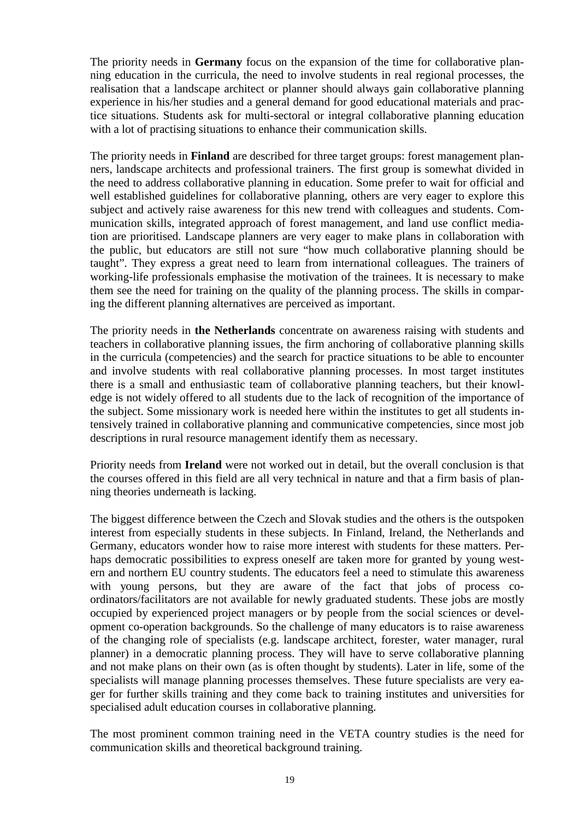The priority needs in **Germany** focus on the expansion of the time for collaborative planning education in the curricula, the need to involve students in real regional processes, the realisation that a landscape architect or planner should always gain collaborative planning experience in his/her studies and a general demand for good educational materials and practice situations. Students ask for multi-sectoral or integral collaborative planning education with a lot of practising situations to enhance their communication skills.

The priority needs in **Finland** are described for three target groups: forest management planners, landscape architects and professional trainers. The first group is somewhat divided in the need to address collaborative planning in education. Some prefer to wait for official and well established guidelines for collaborative planning, others are very eager to explore this subject and actively raise awareness for this new trend with colleagues and students. Communication skills, integrated approach of forest management, and land use conflict mediation are prioritised. Landscape planners are very eager to make plans in collaboration with the public, but educators are still not sure "how much collaborative planning should be taught". They express a great need to learn from international colleagues. The trainers of working-life professionals emphasise the motivation of the trainees. It is necessary to make them see the need for training on the quality of the planning process. The skills in comparing the different planning alternatives are perceived as important.

The priority needs in **the Netherlands** concentrate on awareness raising with students and teachers in collaborative planning issues, the firm anchoring of collaborative planning skills in the curricula (competencies) and the search for practice situations to be able to encounter and involve students with real collaborative planning processes. In most target institutes there is a small and enthusiastic team of collaborative planning teachers, but their knowledge is not widely offered to all students due to the lack of recognition of the importance of the subject. Some missionary work is needed here within the institutes to get all students intensively trained in collaborative planning and communicative competencies, since most job descriptions in rural resource management identify them as necessary.

Priority needs from **Ireland** were not worked out in detail, but the overall conclusion is that the courses offered in this field are all very technical in nature and that a firm basis of planning theories underneath is lacking.

The biggest difference between the Czech and Slovak studies and the others is the outspoken interest from especially students in these subjects. In Finland, Ireland, the Netherlands and Germany, educators wonder how to raise more interest with students for these matters. Perhaps democratic possibilities to express oneself are taken more for granted by young western and northern EU country students. The educators feel a need to stimulate this awareness with young persons, but they are aware of the fact that jobs of process coordinators/facilitators are not available for newly graduated students. These jobs are mostly occupied by experienced project managers or by people from the social sciences or development co-operation backgrounds. So the challenge of many educators is to raise awareness of the changing role of specialists (e.g. landscape architect, forester, water manager, rural planner) in a democratic planning process. They will have to serve collaborative planning and not make plans on their own (as is often thought by students). Later in life, some of the specialists will manage planning processes themselves. These future specialists are very eager for further skills training and they come back to training institutes and universities for specialised adult education courses in collaborative planning.

The most prominent common training need in the VETA country studies is the need for communication skills and theoretical background training.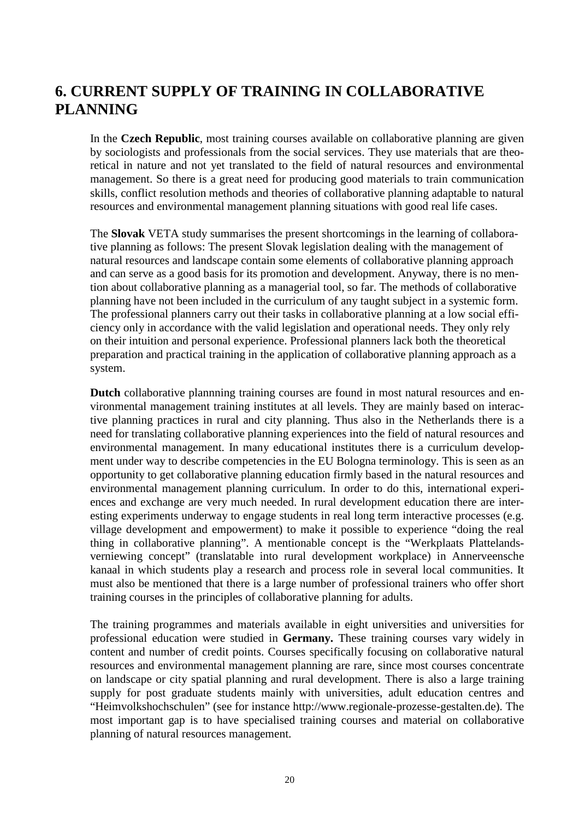### **6. CURRENT SUPPLY OF TRAINING IN COLLABORATIVE PLANNING**

In the **Czech Republic**, most training courses available on collaborative planning are given by sociologists and professionals from the social services. They use materials that are theoretical in nature and not yet translated to the field of natural resources and environmental management. So there is a great need for producing good materials to train communication skills, conflict resolution methods and theories of collaborative planning adaptable to natural resources and environmental management planning situations with good real life cases.

The **Slovak** VETA study summarises the present shortcomings in the learning of collaborative planning as follows: The present Slovak legislation dealing with the management of natural resources and landscape contain some elements of collaborative planning approach and can serve as a good basis for its promotion and development. Anyway, there is no mention about collaborative planning as a managerial tool, so far. The methods of collaborative planning have not been included in the curriculum of any taught subject in a systemic form. The professional planners carry out their tasks in collaborative planning at a low social efficiency only in accordance with the valid legislation and operational needs. They only rely on their intuition and personal experience. Professional planners lack both the theoretical preparation and practical training in the application of collaborative planning approach as a system.

**Dutch** collaborative plannning training courses are found in most natural resources and environmental management training institutes at all levels. They are mainly based on interactive planning practices in rural and city planning. Thus also in the Netherlands there is a need for translating collaborative planning experiences into the field of natural resources and environmental management. In many educational institutes there is a curriculum development under way to describe competencies in the EU Bologna terminology. This is seen as an opportunity to get collaborative planning education firmly based in the natural resources and environmental management planning curriculum. In order to do this, international experiences and exchange are very much needed. In rural development education there are interesting experiments underway to engage students in real long term interactive processes (e.g. village development and empowerment) to make it possible to experience "doing the real thing in collaborative planning". A mentionable concept is the "Werkplaats Plattelandsverniewing concept" (translatable into rural development workplace) in Annerveensche kanaal in which students play a research and process role in several local communities. It must also be mentioned that there is a large number of professional trainers who offer short training courses in the principles of collaborative planning for adults.

The training programmes and materials available in eight universities and universities for professional education were studied in **Germany.** These training courses vary widely in content and number of credit points. Courses specifically focusing on collaborative natural resources and environmental management planning are rare, since most courses concentrate on landscape or city spatial planning and rural development. There is also a large training supply for post graduate students mainly with universities, adult education centres and "Heimvolkshochschulen" (see for instance http://www.regionale-prozesse-gestalten.de). The most important gap is to have specialised training courses and material on collaborative planning of natural resources management.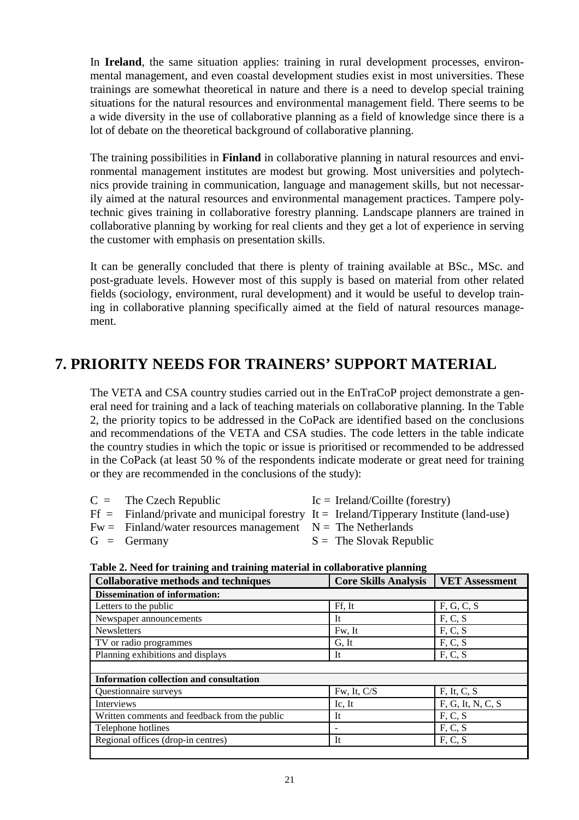In **Ireland**, the same situation applies: training in rural development processes, environmental management, and even coastal development studies exist in most universities. These trainings are somewhat theoretical in nature and there is a need to develop special training situations for the natural resources and environmental management field. There seems to be a wide diversity in the use of collaborative planning as a field of knowledge since there is a lot of debate on the theoretical background of collaborative planning.

The training possibilities in **Finland** in collaborative planning in natural resources and environmental management institutes are modest but growing. Most universities and polytechnics provide training in communication, language and management skills, but not necessarily aimed at the natural resources and environmental management practices. Tampere polytechnic gives training in collaborative forestry planning. Landscape planners are trained in collaborative planning by working for real clients and they get a lot of experience in serving the customer with emphasis on presentation skills.

It can be generally concluded that there is plenty of training available at BSc., MSc. and post-graduate levels. However most of this supply is based on material from other related fields (sociology, environment, rural development) and it would be useful to develop training in collaborative planning specifically aimed at the field of natural resources management.

### **7. PRIORITY NEEDS FOR TRAINERS' SUPPORT MATERIAL**

The VETA and CSA country studies carried out in the EnTraCoP project demonstrate a general need for training and a lack of teaching materials on collaborative planning. In the Table 2, the priority topics to be addressed in the CoPack are identified based on the conclusions and recommendations of the VETA and CSA studies. The code letters in the table indicate the country studies in which the topic or issue is prioritised or recommended to be addressed in the CoPack (at least 50 % of the respondents indicate moderate or great need for training or they are recommended in the conclusions of the study):

| $C =$ The Czech Republic                                        | $Ic = Ireland/Coillte (forestry)$                                                         |
|-----------------------------------------------------------------|-------------------------------------------------------------------------------------------|
|                                                                 | $Ff =$ Finland/private and municipal forestry It = Ireland/Tipperary Institute (land-use) |
| $Fw =$ Finland/water resources management $N =$ The Netherlands |                                                                                           |
| $G =$ Germany                                                   | $S =$ The Slovak Republic                                                                 |

#### **Table 2. Need for training and training material in collaborative planning**

| <b>Collaborative methods and techniques</b>    | <b>Core Skills Analysis</b><br><b>VET Assessment</b> |                   |  |
|------------------------------------------------|------------------------------------------------------|-------------------|--|
| <b>Dissemination of information:</b>           |                                                      |                   |  |
| Letters to the public                          | Ff, It                                               | F, G, C, S        |  |
| Newspaper announcements                        | <b>It</b>                                            | F, C, S           |  |
| <b>Newsletters</b>                             | Fw, It                                               | F, C, S           |  |
| TV or radio programmes                         | G, It                                                | F, C, S           |  |
| Planning exhibitions and displays              | It                                                   | F, C, S           |  |
|                                                |                                                      |                   |  |
| <b>Information collection and consultation</b> |                                                      |                   |  |
| <b>Ouestionnaire surveys</b>                   | Fw, It, C/S                                          | F, It, C, S       |  |
| Interviews                                     | Ic, It                                               | F, G, It, N, C, S |  |
| Written comments and feedback from the public  | It                                                   | F, C, S           |  |
| Telephone hotlines                             |                                                      | F, C, S           |  |
| Regional offices (drop-in centres)             | It                                                   | F, C, S           |  |
|                                                |                                                      |                   |  |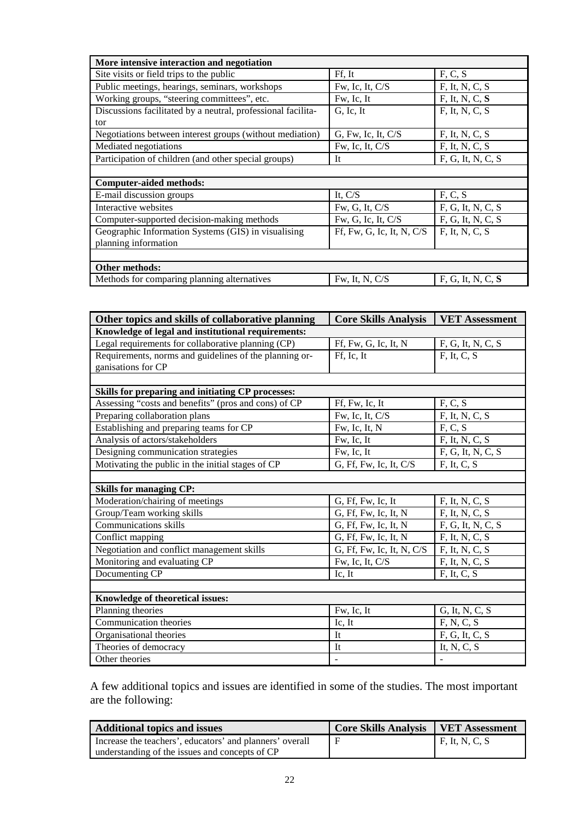| More intensive interaction and negotiation                   |                             |                     |  |  |
|--------------------------------------------------------------|-----------------------------|---------------------|--|--|
| Site visits or field trips to the public                     | Ff, It                      | F, C, S             |  |  |
| Public meetings, hearings, seminars, workshops               | Fw, Ic, It, C/S             | $F$ , It, N, C, S   |  |  |
| Working groups, "steering committees", etc.                  | Fw, Ic, It                  | $F$ , It, N, C, $S$ |  |  |
| Discussions facilitated by a neutral, professional facilita- | G, Ic, It                   | $F$ , It, N, C, S   |  |  |
| tor                                                          |                             |                     |  |  |
| Negotiations between interest groups (without mediation)     | $G$ , Fw, Ic, It, C/S       | $F$ , It, N, C, S   |  |  |
| Mediated negotiations                                        | Fw, Ic, It, C/S             | $F$ , It, N, C, S   |  |  |
| Participation of children (and other special groups)         | It                          | F, G, It, N, C, S   |  |  |
|                                                              |                             |                     |  |  |
| Computer-aided methods:                                      |                             |                     |  |  |
| E-mail discussion groups                                     | It, C/S                     | F, C, S             |  |  |
| Interactive websites                                         | Fw, G, It, C/S              | F, G, It, N, C, S   |  |  |
| Computer-supported decision-making methods                   | Fw, G, Ic, It, C/S          | F, G, It, N, C, S   |  |  |
| Geographic Information Systems (GIS) in visualising          | Ff, Fw, G, Ic, It, N, $C/S$ | $F$ , It, N, C, S   |  |  |
| planning information                                         |                             |                     |  |  |
|                                                              |                             |                     |  |  |
| Other methods:                                               |                             |                     |  |  |
| Methods for comparing planning alternatives                  | Fw, It, N, C/S              | F, G, It, N, C, S   |  |  |

| Other topics and skills of collaborative planning      | <b>Core Skills Analysis</b> | <b>VET Assessment</b> |  |  |  |
|--------------------------------------------------------|-----------------------------|-----------------------|--|--|--|
| Knowledge of legal and institutional requirements:     |                             |                       |  |  |  |
| Legal requirements for collaborative planning (CP)     | Ff, Fw, G, Ic, It, N        | F, G, It, N, C, S     |  |  |  |
| Requirements, norms and guidelines of the planning or- | Ff, Ic, It                  | F, It, C, S           |  |  |  |
| ganisations for CP                                     |                             |                       |  |  |  |
|                                                        |                             |                       |  |  |  |
| Skills for preparing and initiating CP processes:      |                             |                       |  |  |  |
| Assessing "costs and benefits" (pros and cons) of CP   | Ff, Fw, Ic, It              | F, C, S               |  |  |  |
| Preparing collaboration plans                          | Fw, Ic, It, C/S             | F, It, N, C, S        |  |  |  |
| Establishing and preparing teams for CP                | Fw, Ic, It, N               | F, C, S               |  |  |  |
| Analysis of actors/stakeholders                        | Fw, Ic, It                  | $F$ , It, N, C, S     |  |  |  |
| Designing communication strategies                     | Fw, Ic, It                  | F, G, It, N, C, S     |  |  |  |
| Motivating the public in the initial stages of CP      | G, Ff, Fw, Ic, It, C/S      | $F$ , It, C, S        |  |  |  |
|                                                        |                             |                       |  |  |  |
| <b>Skills for managing CP:</b>                         |                             |                       |  |  |  |
| Moderation/chairing of meetings                        | G, Ff, Fw, Ic, It           | $F$ , It, N, C, S     |  |  |  |
| Group/Team working skills                              | G, Ff, Fw, Ic, It, N        | $F$ , It, N, C, S     |  |  |  |
| <b>Communications skills</b>                           | $G$ , Ff, Fw, Ic, It, N     | F, G, It, N, C, S     |  |  |  |
| Conflict mapping                                       | G, Ff, Fw, Ic, It, N        | F, It, N, C, S        |  |  |  |
| Negotiation and conflict management skills             | G, Ff, Fw, Ic, It, N, C/S   | $F$ , It, N, C, S     |  |  |  |
| Monitoring and evaluating CP                           | Fw, Ic, It, C/S             | $F$ , It, N, C, S     |  |  |  |
| Documenting CP                                         | Ic, It                      | $F$ , It, C, S        |  |  |  |
|                                                        |                             |                       |  |  |  |
| Knowledge of theoretical issues:                       |                             |                       |  |  |  |
| Planning theories                                      | Fw, Ic, It                  | G, It, N, C, S        |  |  |  |
| Communication theories                                 | Ic, It                      | F, N, C, S            |  |  |  |
| Organisational theories                                | It                          | F, G, It, C, S        |  |  |  |
| Theories of democracy                                  | It                          | It, N, C, S           |  |  |  |
| Other theories                                         |                             |                       |  |  |  |

A few additional topics and issues are identified in some of the studies. The most important are the following:

| <b>Additional topics and issues</b>                      | <b>Core Skills Analysis   VET Assessment</b> |                        |
|----------------------------------------------------------|----------------------------------------------|------------------------|
| Increase the teachers', educators' and planners' overall |                                              | $\vert$ F, It, N, C, S |
| understanding of the issues and concepts of CP           |                                              |                        |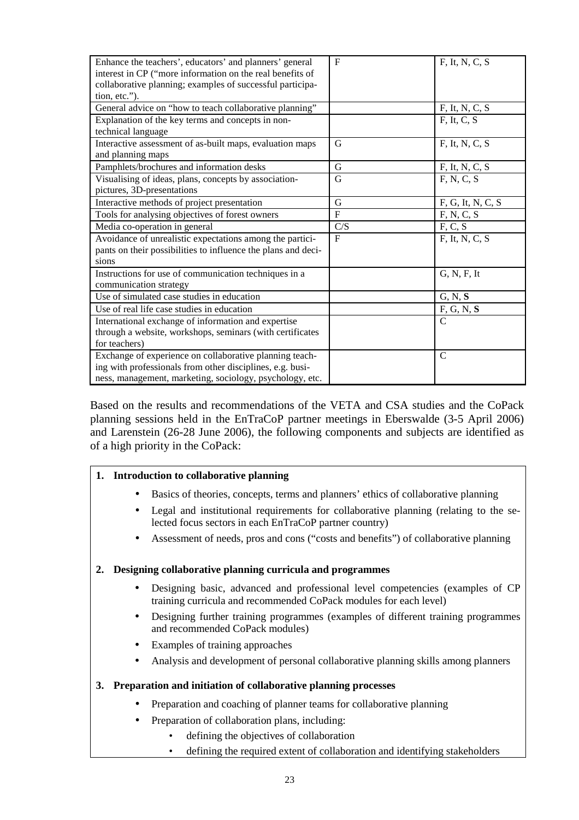| Enhance the teachers', educators' and planners' general       | $\mathbf{F}$ | $F$ , It, N, C, S |
|---------------------------------------------------------------|--------------|-------------------|
| interest in CP ("more information on the real benefits of     |              |                   |
| collaborative planning; examples of successful participa-     |              |                   |
| tion, etc.").                                                 |              |                   |
| General advice on "how to teach collaborative planning"       |              | F, It, N, C, S    |
| Explanation of the key terms and concepts in non-             |              | $F$ , It, C, S    |
| technical language                                            |              |                   |
| Interactive assessment of as-built maps, evaluation maps      | G            | $F$ , It, N, C, S |
| and planning maps                                             |              |                   |
| Pamphlets/brochures and information desks                     | G            | $F$ , It, N, C, S |
| Visualising of ideas, plans, concepts by association-         | G            | F, N, C, S        |
| pictures, 3D-presentations                                    |              |                   |
| Interactive methods of project presentation                   | G            | F, G, It, N, C, S |
| Tools for analysing objectives of forest owners               | $\mathbf F$  | F, N, C, S        |
| Media co-operation in general                                 | C/S          | F, C, S           |
| Avoidance of unrealistic expectations among the partici-      | $\mathbf{F}$ | $F$ , It, N, C, S |
| pants on their possibilities to influence the plans and deci- |              |                   |
| sions                                                         |              |                   |
| Instructions for use of communication techniques in a         |              | G, N, F, It       |
| communication strategy                                        |              |                   |
| Use of simulated case studies in education                    |              | G, N, S           |
| Use of real life case studies in education                    |              | F, G, N, S        |
| International exchange of information and expertise           |              | $\mathsf{C}$      |
| through a website, workshops, seminars (with certificates     |              |                   |
| for teachers)                                                 |              |                   |
| Exchange of experience on collaborative planning teach-       |              | $\mathcal{C}$     |
| ing with professionals from other disciplines, e.g. busi-     |              |                   |
| ness, management, marketing, sociology, psychology, etc.      |              |                   |

Based on the results and recommendations of the VETA and CSA studies and the CoPack planning sessions held in the EnTraCoP partner meetings in Eberswalde (3-5 April 2006) and Larenstein (26-28 June 2006), the following components and subjects are identified as of a high priority in the CoPack:

### **1. Introduction to collaborative planning**

- Basics of theories, concepts, terms and planners' ethics of collaborative planning
- Legal and institutional requirements for collaborative planning (relating to the selected focus sectors in each EnTraCoP partner country)
- Assessment of needs, pros and cons ("costs and benefits") of collaborative planning

#### **2. Designing collaborative planning curricula and programmes**

- Designing basic, advanced and professional level competencies (examples of CP training curricula and recommended CoPack modules for each level)
- Designing further training programmes (examples of different training programmes and recommended CoPack modules)
- Examples of training approaches
- Analysis and development of personal collaborative planning skills among planners

#### **3. Preparation and initiation of collaborative planning processes**

- Preparation and coaching of planner teams for collaborative planning
- Preparation of collaboration plans, including:
	- defining the objectives of collaboration
	- defining the required extent of collaboration and identifying stakeholders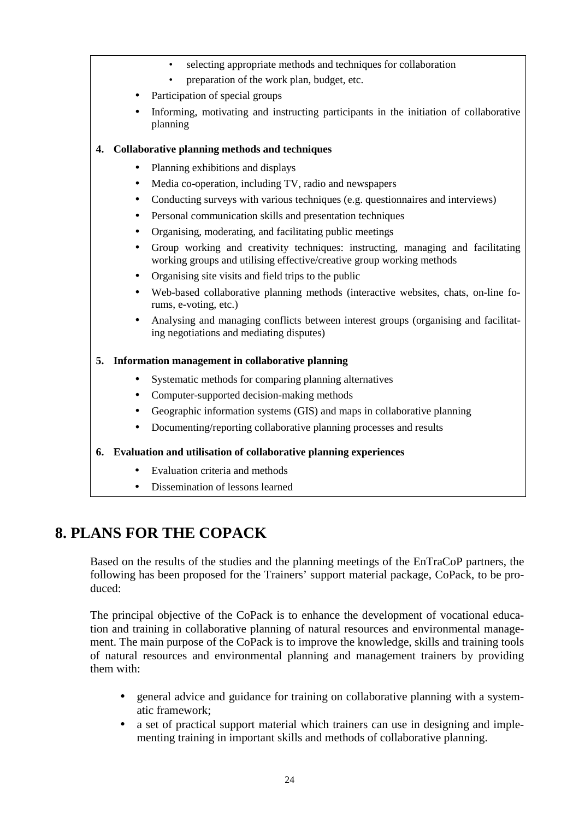- selecting appropriate methods and techniques for collaboration
- preparation of the work plan, budget, etc.
- Participation of special groups
- Informing, motivating and instructing participants in the initiation of collaborative planning

### **4. Collaborative planning methods and techniques**

- Planning exhibitions and displays
- Media co-operation, including TV, radio and newspapers
- Conducting surveys with various techniques (e.g. questionnaires and interviews)
- Personal communication skills and presentation techniques
- Organising, moderating, and facilitating public meetings
- Group working and creativity techniques: instructing, managing and facilitating working groups and utilising effective/creative group working methods
- Organising site visits and field trips to the public
- Web-based collaborative planning methods (interactive websites, chats, on-line forums, e-voting, etc.)
- Analysing and managing conflicts between interest groups (organising and facilitating negotiations and mediating disputes)

### **5. Information management in collaborative planning**

- Systematic methods for comparing planning alternatives
- Computer-supported decision-making methods
- Geographic information systems (GIS) and maps in collaborative planning
- Documenting/reporting collaborative planning processes and results

### **6. Evaluation and utilisation of collaborative planning experiences**

- Evaluation criteria and methods
- Dissemination of lessons learned

### **8. PLANS FOR THE COPACK**

Based on the results of the studies and the planning meetings of the EnTraCoP partners, the following has been proposed for the Trainers' support material package, CoPack, to be produced:

The principal objective of the CoPack is to enhance the development of vocational education and training in collaborative planning of natural resources and environmental management. The main purpose of the CoPack is to improve the knowledge, skills and training tools of natural resources and environmental planning and management trainers by providing them with:

- general advice and guidance for training on collaborative planning with a systematic framework;
- a set of practical support material which trainers can use in designing and implementing training in important skills and methods of collaborative planning.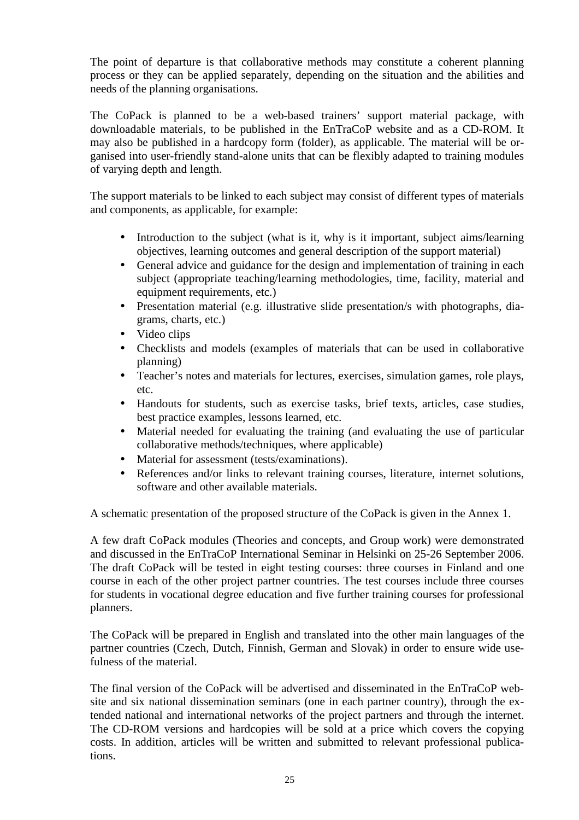The point of departure is that collaborative methods may constitute a coherent planning process or they can be applied separately, depending on the situation and the abilities and needs of the planning organisations.

The CoPack is planned to be a web-based trainers' support material package, with downloadable materials, to be published in the EnTraCoP website and as a CD-ROM. It may also be published in a hardcopy form (folder), as applicable. The material will be organised into user-friendly stand-alone units that can be flexibly adapted to training modules of varying depth and length.

The support materials to be linked to each subject may consist of different types of materials and components, as applicable, for example:

- Introduction to the subject (what is it, why is it important, subject aims/learning objectives, learning outcomes and general description of the support material)
- General advice and guidance for the design and implementation of training in each subject (appropriate teaching/learning methodologies, time, facility, material and equipment requirements, etc.)
- Presentation material (e.g. illustrative slide presentation/s with photographs, diagrams, charts, etc.)
- Video clips
- Checklists and models (examples of materials that can be used in collaborative planning)
- Teacher's notes and materials for lectures, exercises, simulation games, role plays, etc.
- Handouts for students, such as exercise tasks, brief texts, articles, case studies, best practice examples, lessons learned, etc.
- Material needed for evaluating the training (and evaluating the use of particular collaborative methods/techniques, where applicable)
- Material for assessment (tests/examinations).
- References and/or links to relevant training courses, literature, internet solutions, software and other available materials.

A schematic presentation of the proposed structure of the CoPack is given in the Annex 1.

A few draft CoPack modules (Theories and concepts, and Group work) were demonstrated and discussed in the EnTraCoP International Seminar in Helsinki on 25-26 September 2006. The draft CoPack will be tested in eight testing courses: three courses in Finland and one course in each of the other project partner countries. The test courses include three courses for students in vocational degree education and five further training courses for professional planners.

The CoPack will be prepared in English and translated into the other main languages of the partner countries (Czech, Dutch, Finnish, German and Slovak) in order to ensure wide usefulness of the material.

The final version of the CoPack will be advertised and disseminated in the EnTraCoP website and six national dissemination seminars (one in each partner country), through the extended national and international networks of the project partners and through the internet. The CD-ROM versions and hardcopies will be sold at a price which covers the copying costs. In addition, articles will be written and submitted to relevant professional publications.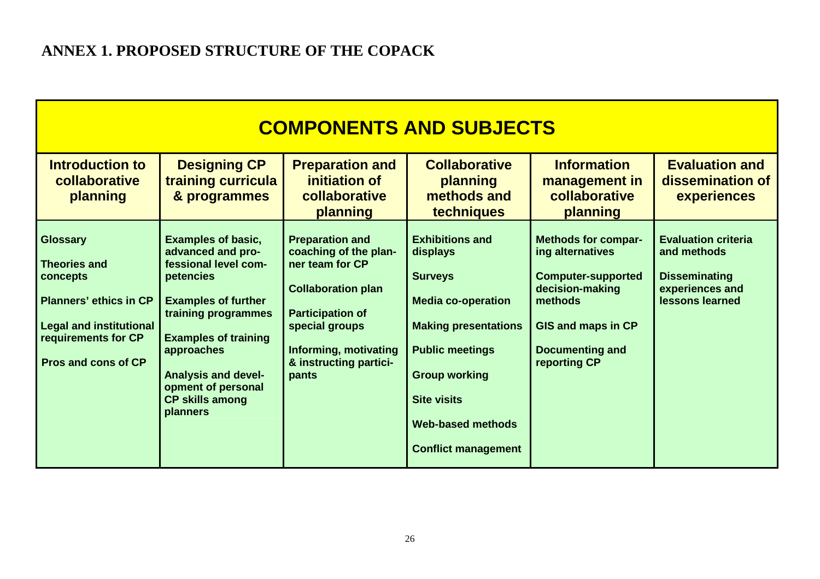| <b>COMPONENTS AND SUBJECTS</b>                                                                                                                                             |                                                                                                                                                                                                                                                                                 |                                                                                                                                                                                                          |                                                                                                                                                                                                                                                    |                                                                                                                                                                                  |                                                                                                         |
|----------------------------------------------------------------------------------------------------------------------------------------------------------------------------|---------------------------------------------------------------------------------------------------------------------------------------------------------------------------------------------------------------------------------------------------------------------------------|----------------------------------------------------------------------------------------------------------------------------------------------------------------------------------------------------------|----------------------------------------------------------------------------------------------------------------------------------------------------------------------------------------------------------------------------------------------------|----------------------------------------------------------------------------------------------------------------------------------------------------------------------------------|---------------------------------------------------------------------------------------------------------|
| <b>Introduction to</b><br>collaborative<br>planning                                                                                                                        | <b>Designing CP</b><br>training curricula<br>& programmes                                                                                                                                                                                                                       | <b>Preparation and</b><br>initiation of<br>collaborative<br>planning                                                                                                                                     | <b>Collaborative</b><br>planning<br>methods and<br>techniques                                                                                                                                                                                      | <b>Information</b><br>management in<br>collaborative<br>planning                                                                                                                 | <b>Evaluation and</b><br>dissemination of<br><b>experiences</b>                                         |
| <b>Glossary</b><br><b>Theories and</b><br>concepts<br><b>Planners' ethics in CP</b><br><b>Legal and institutional</b><br>requirements for CP<br><b>Pros and cons of CP</b> | <b>Examples of basic,</b><br>advanced and pro-<br>fessional level com-<br>petencies<br><b>Examples of further</b><br>training programmes<br><b>Examples of training</b><br>approaches<br><b>Analysis and devel-</b><br>opment of personal<br><b>CP skills among</b><br>planners | <b>Preparation and</b><br>coaching of the plan-<br>ner team for CP<br><b>Collaboration plan</b><br><b>Participation of</b><br>special groups<br>Informing, motivating<br>& instructing partici-<br>pants | <b>Exhibitions and</b><br>displays<br><b>Surveys</b><br><b>Media co-operation</b><br><b>Making presentations</b><br><b>Public meetings</b><br><b>Group working</b><br><b>Site visits</b><br><b>Web-based methods</b><br><b>Conflict management</b> | <b>Methods for compar-</b><br>ing alternatives<br><b>Computer-supported</b><br>decision-making<br>methods<br><b>GIS and maps in CP</b><br><b>Documenting and</b><br>reporting CP | <b>Evaluation criteria</b><br>and methods<br><b>Disseminating</b><br>experiences and<br>lessons learned |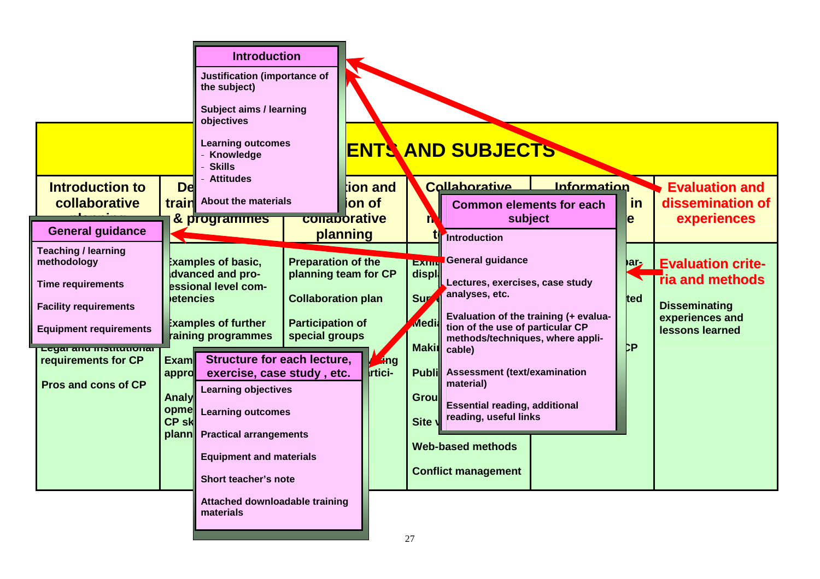|                                                                                                                                                                                                               | <b>Introduction</b><br>Justification (importance of<br>the subject)<br><b>Subject aims / learning</b><br>objectives<br><b>Learning outcomes</b><br>Knowledge<br><b>Skills</b><br><b>Attitudes</b>                |                                                                                                                             |                               | <b>ENTS AND SUBJECTS</b>                                                                                                                                                                                                                                                                                                                                                                                                                                    |
|---------------------------------------------------------------------------------------------------------------------------------------------------------------------------------------------------------------|------------------------------------------------------------------------------------------------------------------------------------------------------------------------------------------------------------------|-----------------------------------------------------------------------------------------------------------------------------|-------------------------------|-------------------------------------------------------------------------------------------------------------------------------------------------------------------------------------------------------------------------------------------------------------------------------------------------------------------------------------------------------------------------------------------------------------------------------------------------------------|
| <b>Introduction to</b><br>collaborative<br>train                                                                                                                                                              | <b>Del</b><br><b>About the materials</b>                                                                                                                                                                         |                                                                                                                             | ion and<br>ion of             | Collaborative<br>Information<br><b>Evaluation and</b><br>in<br>dissemination of<br><b>Common elements for each</b>                                                                                                                                                                                                                                                                                                                                          |
| <b>General guidance</b>                                                                                                                                                                                       | & programmes                                                                                                                                                                                                     | conaporative<br>planning                                                                                                    |                               | subject<br>experiences<br>e<br>Introduction                                                                                                                                                                                                                                                                                                                                                                                                                 |
| <b>Teaching / learning</b><br>methodology<br><b>Time requirements</b><br><b>Facility requirements</b><br><b>Equipment requirements</b><br>Legar and montumonar<br>requirements for CP<br><b>Exam</b><br>appro | <b>Examples of basic,</b><br>dvanced and pro-<br>essional level com-<br><b>letencies</b><br><b>Examples of further</b><br>raining programmes<br><b>Structure for each lecture,</b><br>exercise, case study, etc. | <b>Preparation of the</b><br>planning team for CP<br><b>Collaboration plan</b><br><b>Participation of</b><br>special groups | <b>Ling</b><br><b>Irtici-</b> | <b>EXIMP</b> General guidance<br><b>Party Evaluation crite-</b><br>displ<br><b>ria and methods</b><br>Lectures, exercises, case study<br>analyses, etc.<br>Sur<br>ted<br><b>Disseminating</b><br>Evaluation of the training (+ evalua-<br>experiences and<br><b>Media</b><br>tion of the use of particular CP<br>lessons learned<br>methods/techniques, where appli-<br>þР<br><b>Makir</b><br>cable)<br><b>Assessment (text/examination</b><br><b>Publi</b> |
| <b>Pros and cons of CP</b><br>Analy<br>opme<br><b>CP skl</b>                                                                                                                                                  | <b>Learning objectives</b><br><b>Learning outcomes</b><br>plann Practical arrangements<br><b>Equipment and materials</b><br>Short teacher's note                                                                 |                                                                                                                             |                               | material)<br><b>Grou</b><br><b>Essential reading, additional</b><br>reading, useful links<br>Site \<br><b>Web-based methods</b><br><b>Conflict management</b>                                                                                                                                                                                                                                                                                               |
|                                                                                                                                                                                                               | Attached downloadable training<br>materials                                                                                                                                                                      |                                                                                                                             |                               |                                                                                                                                                                                                                                                                                                                                                                                                                                                             |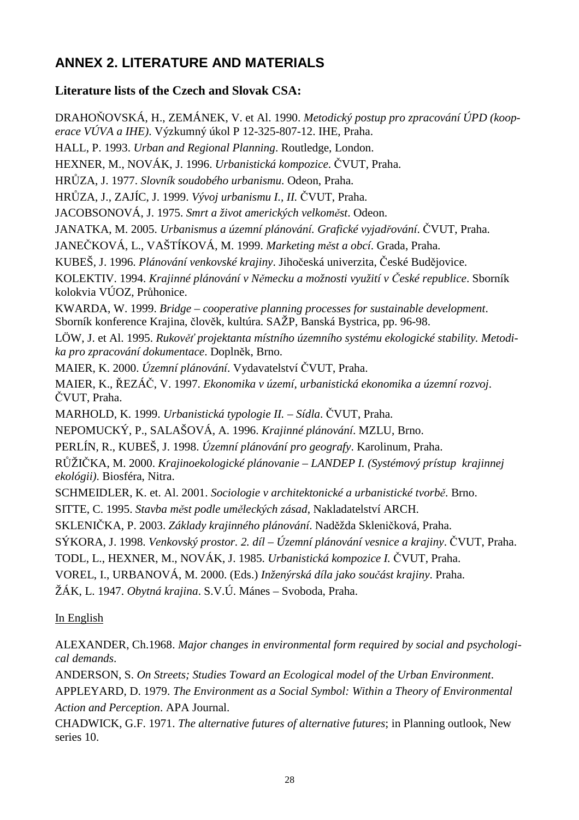### **ANNEX 2. LITERATURE AND MATERIALS**

### **Literature lists of the Czech and Slovak CSA:**

DRAHOŇOVSKÁ, H., ZEMÁNEK, V. et Al. 1990. *Metodický postup pro zpracování ÚPD (kooperace VÚVA a IHE)*. Výzkumný úkol P 12-325-807-12. IHE, Praha. HALL, P. 1993. *Urban and Regional Planning*. Routledge, London. HEXNER, M., NOVÁK, J. 1996. *Urbanistická kompozice*. ČVUT, Praha. HRŮZA, J. 1977. *Slovník soudobého urbanismu*. Odeon, Praha. HRŮZA, J., ZAJÍC, J. 1999. *Vývoj urbanismu I., II.* ČVUT, Praha. JACOBSONOVÁ, J. 1975. *Smrt a život amerických velkom*ě*st*. Odeon. JANATKA, M. 2005. *Urbanismus a územní plánování. Grafické vyjad*ř*ování*. ČVUT, Praha. JANEČKOVÁ, L., VAŠTÍKOVÁ, M. 1999. *Marketing m*ě*st a obcí*. Grada, Praha. KUBEŠ, J. 1996. *Plánování venkovské krajiny*. Jihočeská univerzita, České Budějovice. KOLEKTIV. 1994. *Krajinné plánování v N*ě*mecku a možnosti využití v* Č*eské republice*. Sborník kolokvia VÚOZ, Průhonice. KWARDA, W. 1999. *Bridge – cooperative planning processes for sustainable development*. Sborník konference Krajina, člověk, kultúra. SAŽP, Banská Bystrica, pp. 96-98. LÖW, J. et Al. 1995. *Rukov*ěť *projektanta místního územního systému ekologické stability. Metodika pro zpracování dokumentace*. Doplněk, Brno. MAIER, K. 2000. *Územní plánování*. Vydavatelství ČVUT, Praha. MAIER, K., ŘEZÁČ, V. 1997. *Ekonomika v území, urbanistická ekonomika a územní rozvoj*. ČVUT, Praha. MARHOLD, K. 1999. *Urbanistická typologie II. – Sídla*. ČVUT, Praha. NEPOMUCKÝ, P., SALAŠOVÁ, A. 1996. *Krajinné plánování*. MZLU, Brno. PERLÍN, R., KUBEŠ, J. 1998. *Územní plánování pro geografy*. Karolinum, Praha. RŮŽIČKA, M. 2000. *Krajinoekologické plánovanie – LANDEP I. (Systémový prístup krajinnej ekológii)*. Biosféra, Nitra. SCHMEIDLER, K. et. Al. 2001. *Sociologie v architektonické a urbanistické tvorb*ě. Brno. SITTE, C. 1995. *Stavba m*ě*st podle um*ě*leckých zásad*, Nakladatelství ARCH. SKLENIČKA, P. 2003. *Základy krajinného plánování*. Naděžda Skleničková, Praha. SÝKORA, J. 1998. *Venkovský prostor. 2. díl – Územní plánování vesnice a krajiny*. ČVUT, Praha. TODL, L., HEXNER, M., NOVÁK, J. 1985. *Urbanistická kompozice I.* ČVUT, Praha. VOREL, I., URBANOVÁ, M. 2000. (Eds.) *Inženýrská díla jako sou*č*ást krajiny*. Praha. ŽÁK, L. 1947. *Obytná krajina*. S.V.Ú. Mánes – Svoboda, Praha.

### In English

ALEXANDER, Ch.1968. *Major changes in environmental form required by social and psychological demands*.

ANDERSON, S. *On Streets; Studies Toward an Ecological model of the Urban Environment*.

APPLEYARD, D. 1979. *The Environment as a Social Symbol: Within a Theory of Environmental Action and Perception*. APA Journal.

CHADWICK, G.F. 1971. *The alternative futures of alternative futures*; in Planning outlook, New series 10.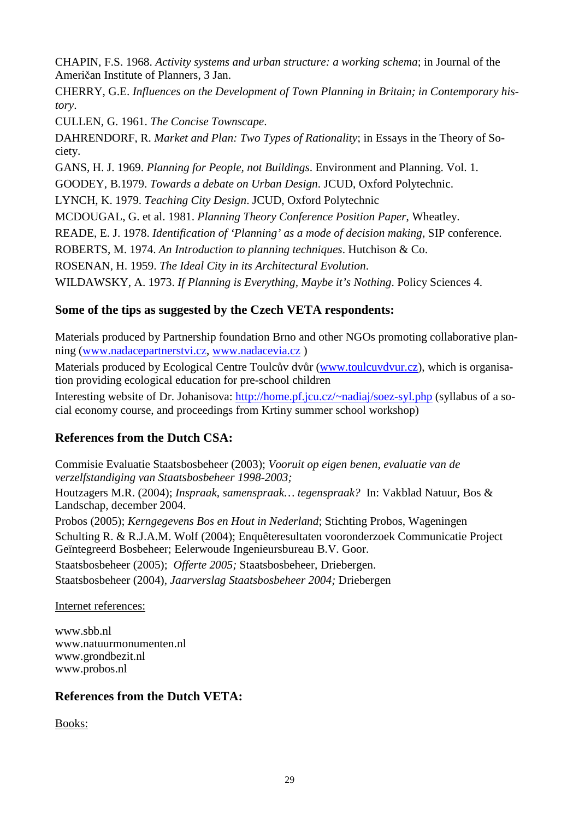CHAPIN, F.S. 1968. *Activity systems and urban structure: a working schema*; in Journal of the Američan Institute of Planners, 3 Jan.

CHERRY, G.E. *Influences on the Development of Town Planning in Britain; in Contemporary history*.

CULLEN, G. 1961. *The Concise Townscape*.

DAHRENDORF, R. *Market and Plan: Two Types of Rationality*; in Essays in the Theory of Society.

GANS, H. J. 1969. *Planning for People, not Buildings*. Environment and Planning. Vol. 1. GOODEY, B.1979. *Towards a debate on Urban Design*. JCUD, Oxford Polytechnic.

LYNCH, K. 1979. *Teaching City Design*. JCUD, Oxford Polytechnic

MCDOUGAL, G. et al. 1981. *Planning Theory Conference Position Paper*, Wheatley.

READE, E. J. 1978. *Identification of 'Planning' as a mode of decision making*, SIP conference.

ROBERTS, M. 1974. *An Introduction to planning techniques*. Hutchison & Co.

ROSENAN, H. 1959. *The Ideal City in its Architectural Evolution*.

WILDAWSKY, A. 1973. *If Planning is Everything, Maybe it's Nothing*. Policy Sciences 4.

### **Some of the tips as suggested by the Czech VETA respondents:**

Materials produced by Partnership foundation Brno and other NGOs promoting collaborative planning (www.nadacepartnerstvi.cz, www.nadacevia.cz )

Materials produced by Ecological Centre Toulcův dvůr (www.toulcuvdvur.cz), which is organisation providing ecological education for pre-school children

Interesting website of Dr. Johanisova: http://home.pf.jcu.cz/~nadiaj/soez-syl.php (syllabus of a social economy course, and proceedings from Krtiny summer school workshop)

### **References from the Dutch CSA:**

Commisie Evaluatie Staatsbosbeheer (2003); *Vooruit op eigen benen, evaluatie van de verzelfstandiging van Staatsbosbeheer 1998-2003;*

Houtzagers M.R. (2004); *Inspraak, samenspraak… tegenspraak?* In: Vakblad Natuur, Bos & Landschap, december 2004.

Probos (2005); *Kerngegevens Bos en Hout in Nederland*; Stichting Probos, Wageningen Schulting R. & R.J.A.M. Wolf (2004); Enquêteresultaten vooronderzoek Communicatie Project Geïntegreerd Bosbeheer; Eelerwoude Ingenieursbureau B.V. Goor. Staatsbosbeheer (2005); *Offerte 2005;* Staatsbosbeheer, Driebergen.

Staatsbosbeheer (2004), *Jaarverslag Staatsbosbeheer 2004;* Driebergen

### Internet references:

www.sbb.nl www.natuurmonumenten.nl www.grondbezit.nl www.probos.nl

### **References from the Dutch VETA:**

Books: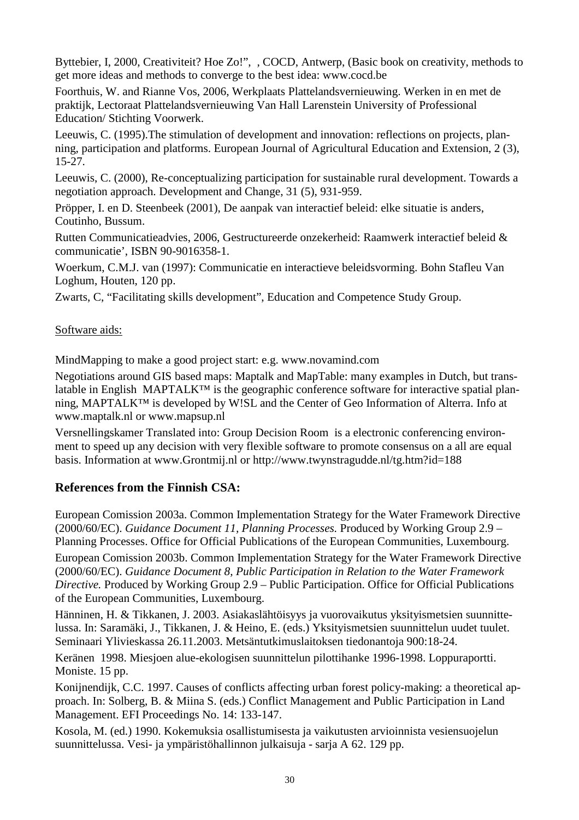Byttebier, I, 2000, Creativiteit? Hoe Zo!", , COCD, Antwerp, (Basic book on creativity, methods to get more ideas and methods to converge to the best idea: www.cocd.be

Foorthuis, W. and Rianne Vos, 2006, Werkplaats Plattelandsvernieuwing. Werken in en met de praktijk, Lectoraat Plattelandsvernieuwing Van Hall Larenstein University of Professional Education/ Stichting Voorwerk.

Leeuwis, C. (1995).The stimulation of development and innovation: reflections on projects, planning, participation and platforms. European Journal of Agricultural Education and Extension, 2 (3), 15-27.

Leeuwis, C. (2000), Re-conceptualizing participation for sustainable rural development. Towards a negotiation approach. Development and Change, 31 (5), 931-959.

Pröpper, I. en D. Steenbeek (2001), De aanpak van interactief beleid: elke situatie is anders, Coutinho, Bussum.

Rutten Communicatieadvies, 2006, Gestructureerde onzekerheid: Raamwerk interactief beleid & communicatie', ISBN 90-9016358-1.

Woerkum, C.M.J. van (1997): Communicatie en interactieve beleidsvorming. Bohn Stafleu Van Loghum, Houten, 120 pp.

Zwarts, C, "Facilitating skills development", Education and Competence Study Group.

### Software aids:

MindMapping to make a good project start: e.g. www.novamind.com

Negotiations around GIS based maps: Maptalk and MapTable: many examples in Dutch, but translatable in English MAPTALK™ is the geographic conference software for interactive spatial planning, MAPTALK™ is developed by W!SL and the Center of Geo Information of Alterra. Info at www.maptalk.nl or www.mapsup.nl

Versnellingskamer Translated into: Group Decision Room is a electronic conferencing environment to speed up any decision with very flexible software to promote consensus on a all are equal basis. Information at www.Grontmij.nl or http://www.twynstragudde.nl/tg.htm?id=188

### **References from the Finnish CSA:**

European Comission 2003a. Common Implementation Strategy for the Water Framework Directive (2000/60/EC). *Guidance Document 11, Planning Processes.* Produced by Working Group 2.9 – Planning Processes. Office for Official Publications of the European Communities, Luxembourg.

European Comission 2003b. Common Implementation Strategy for the Water Framework Directive (2000/60/EC). *Guidance Document 8, Public Participation in Relation to the Water Framework Directive.* Produced by Working Group 2.9 – Public Participation. Office for Official Publications of the European Communities, Luxembourg.

Hänninen, H. & Tikkanen, J. 2003. Asiakaslähtöisyys ja vuorovaikutus yksityismetsien suunnittelussa. In: Saramäki, J., Tikkanen, J. & Heino, E. (eds.) Yksityismetsien suunnittelun uudet tuulet. Seminaari Ylivieskassa 26.11.2003. Metsäntutkimuslaitoksen tiedonantoja 900:18-24.

Keränen 1998. Miesjoen alue-ekologisen suunnittelun pilottihanke 1996-1998. Loppuraportti. Moniste. 15 pp.

Konijnendijk, C.C. 1997. Causes of conflicts affecting urban forest policy-making: a theoretical approach. In: Solberg, B. & Miina S. (eds.) Conflict Management and Public Participation in Land Management. EFI Proceedings No. 14: 133-147.

Kosola, M. (ed.) 1990. Kokemuksia osallistumisesta ja vaikutusten arvioinnista vesiensuojelun suunnittelussa. Vesi- ja ympäristöhallinnon julkaisuja - sarja A 62. 129 pp.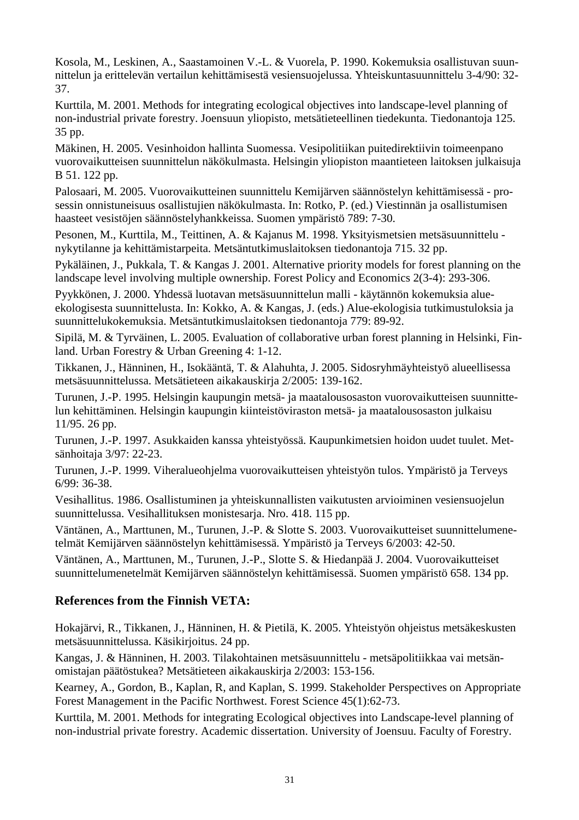Kosola, M., Leskinen, A., Saastamoinen V.-L. & Vuorela, P. 1990. Kokemuksia osallistuvan suunnittelun ja erittelevän vertailun kehittämisestä vesiensuojelussa. Yhteiskuntasuunnittelu 3-4/90: 32- 37.

Kurttila, M. 2001. Methods for integrating ecological objectives into landscape-level planning of non-industrial private forestry. Joensuun yliopisto, metsätieteellinen tiedekunta. Tiedonantoja 125. 35 pp.

Mäkinen, H. 2005. Vesinhoidon hallinta Suomessa. Vesipolitiikan puitedirektiivin toimeenpano vuorovaikutteisen suunnittelun näkökulmasta. Helsingin yliopiston maantieteen laitoksen julkaisuja B 51. 122 pp.

Palosaari, M. 2005. Vuorovaikutteinen suunnittelu Kemijärven säännöstelyn kehittämisessä - prosessin onnistuneisuus osallistujien näkökulmasta. In: Rotko, P. (ed.) Viestinnän ja osallistumisen haasteet vesistöjen säännöstelyhankkeissa. Suomen ympäristö 789: 7-30.

Pesonen, M., Kurttila, M., Teittinen, A. & Kajanus M. 1998. Yksityismetsien metsäsuunnittelu nykytilanne ja kehittämistarpeita. Metsäntutkimuslaitoksen tiedonantoja 715. 32 pp.

Pykäläinen, J., Pukkala, T. & Kangas J. 2001. Alternative priority models for forest planning on the landscape level involving multiple ownership. Forest Policy and Economics 2(3-4): 293-306.

Pyykkönen, J. 2000. Yhdessä luotavan metsäsuunnittelun malli - käytännön kokemuksia alueekologisesta suunnittelusta. In: Kokko, A. & Kangas, J. (eds.) Alue-ekologisia tutkimustuloksia ja suunnittelukokemuksia. Metsäntutkimuslaitoksen tiedonantoja 779: 89-92.

Sipilä, M. & Tyrväinen, L. 2005. Evaluation of collaborative urban forest planning in Helsinki, Finland. Urban Forestry & Urban Greening 4: 1-12.

Tikkanen, J., Hänninen, H., Isokääntä, T. & Alahuhta, J. 2005. Sidosryhmäyhteistyö alueellisessa metsäsuunnittelussa. Metsätieteen aikakauskirja 2/2005: 139-162.

Turunen, J.-P. 1995. Helsingin kaupungin metsä- ja maatalousosaston vuorovaikutteisen suunnittelun kehittäminen. Helsingin kaupungin kiinteistöviraston metsä- ja maatalousosaston julkaisu 11/95. 26 pp.

Turunen, J.-P. 1997. Asukkaiden kanssa yhteistyössä. Kaupunkimetsien hoidon uudet tuulet. Metsänhoitaja 3/97: 22-23.

Turunen, J.-P. 1999. Viheralueohjelma vuorovaikutteisen yhteistyön tulos. Ympäristö ja Terveys 6/99: 36-38.

Vesihallitus. 1986. Osallistuminen ja yhteiskunnallisten vaikutusten arvioiminen vesiensuojelun suunnittelussa. Vesihallituksen monistesarja. Nro. 418. 115 pp.

Väntänen, A., Marttunen, M., Turunen, J.-P. & Slotte S. 2003. Vuorovaikutteiset suunnittelumenetelmät Kemijärven säännöstelyn kehittämisessä. Ympäristö ja Terveys 6/2003: 42-50.

Väntänen, A., Marttunen, M., Turunen, J.-P., Slotte S. & Hiedanpää J. 2004. Vuorovaikutteiset suunnittelumenetelmät Kemijärven säännöstelyn kehittämisessä. Suomen ympäristö 658. 134 pp.

### **References from the Finnish VETA:**

Hokajärvi, R., Tikkanen, J., Hänninen, H. & Pietilä, K. 2005. Yhteistyön ohjeistus metsäkeskusten metsäsuunnittelussa. Käsikirjoitus. 24 pp.

Kangas, J. & Hänninen, H. 2003. Tilakohtainen metsäsuunnittelu - metsäpolitiikkaa vai metsänomistajan päätöstukea? Metsätieteen aikakauskirja 2/2003: 153-156.

Kearney, A., Gordon, B., Kaplan, R, and Kaplan, S. 1999. Stakeholder Perspectives on Appropriate Forest Management in the Pacific Northwest. Forest Science 45(1):62-73.

Kurttila, M. 2001. Methods for integrating Ecological objectives into Landscape-level planning of non-industrial private forestry. Academic dissertation. University of Joensuu. Faculty of Forestry.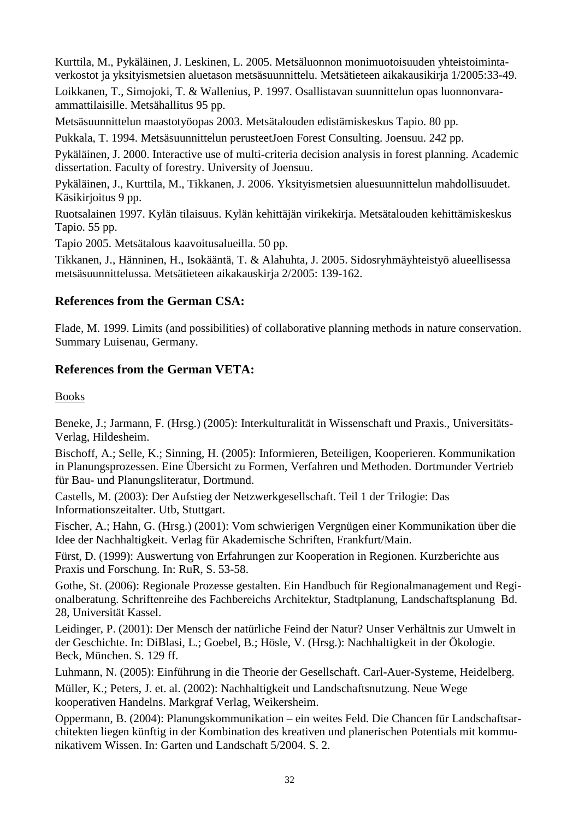Kurttila, M., Pykäläinen, J. Leskinen, L. 2005. Metsäluonnon monimuotoisuuden yhteistoimintaverkostot ja yksityismetsien aluetason metsäsuunnittelu. Metsätieteen aikakausikirja 1/2005:33-49.

Loikkanen, T., Simojoki, T. & Wallenius, P. 1997. Osallistavan suunnittelun opas luonnonvaraammattilaisille. Metsähallitus 95 pp.

Metsäsuunnittelun maastotyöopas 2003. Metsätalouden edistämiskeskus Tapio. 80 pp.

Pukkala, T. 1994. Metsäsuunnittelun perusteetJoen Forest Consulting. Joensuu. 242 pp.

Pykäläinen, J. 2000. Interactive use of multi-criteria decision analysis in forest planning. Academic dissertation. Faculty of forestry. University of Joensuu.

Pykäläinen, J., Kurttila, M., Tikkanen, J. 2006. Yksityismetsien aluesuunnittelun mahdollisuudet. Käsikirjoitus 9 pp.

Ruotsalainen 1997. Kylän tilaisuus. Kylän kehittäjän virikekirja. Metsätalouden kehittämiskeskus Tapio. 55 pp.

Tapio 2005. Metsätalous kaavoitusalueilla. 50 pp.

Tikkanen, J., Hänninen, H., Isokääntä, T. & Alahuhta, J. 2005. Sidosryhmäyhteistyö alueellisessa metsäsuunnittelussa. Metsätieteen aikakauskirja 2/2005: 139-162.

### **References from the German CSA:**

Flade, M. 1999. Limits (and possibilities) of collaborative planning methods in nature conservation. Summary Luisenau, Germany.

### **References from the German VETA:**

Books

Beneke, J.; Jarmann, F. (Hrsg.) (2005): Interkulturalität in Wissenschaft und Praxis., Universitäts-Verlag, Hildesheim.

Bischoff, A.; Selle, K.; Sinning, H. (2005): Informieren, Beteiligen, Kooperieren. Kommunikation in Planungsprozessen. Eine Übersicht zu Formen, Verfahren und Methoden. Dortmunder Vertrieb für Bau- und Planungsliteratur, Dortmund.

Castells, M. (2003): Der Aufstieg der Netzwerkgesellschaft. Teil 1 der Trilogie: Das Informationszeitalter. Utb, Stuttgart.

Fischer, A.; Hahn, G. (Hrsg.) (2001): Vom schwierigen Vergnügen einer Kommunikation über die Idee der Nachhaltigkeit. Verlag für Akademische Schriften, Frankfurt/Main.

Fürst, D. (1999): Auswertung von Erfahrungen zur Kooperation in Regionen. Kurzberichte aus Praxis und Forschung. In: RuR, S. 53-58.

Gothe, St. (2006): Regionale Prozesse gestalten. Ein Handbuch für Regionalmanagement und Regionalberatung. Schriftenreihe des Fachbereichs Architektur, Stadtplanung, Landschaftsplanung Bd. 28, Universität Kassel.

Leidinger, P. (2001): Der Mensch der natürliche Feind der Natur? Unser Verhältnis zur Umwelt in der Geschichte. In: DiBlasi, L.; Goebel, B.; Hösle, V. (Hrsg.): Nachhaltigkeit in der Ökologie. Beck, München. S. 129 ff.

Luhmann, N. (2005): Einführung in die Theorie der Gesellschaft. Carl-Auer-Systeme, Heidelberg.

Müller, K.; Peters, J. et. al. (2002): Nachhaltigkeit und Landschaftsnutzung. Neue Wege kooperativen Handelns. Markgraf Verlag, Weikersheim.

Oppermann, B. (2004): Planungskommunikation – ein weites Feld. Die Chancen für Landschaftsarchitekten liegen künftig in der Kombination des kreativen und planerischen Potentials mit kommunikativem Wissen. In: Garten und Landschaft 5/2004. S. 2.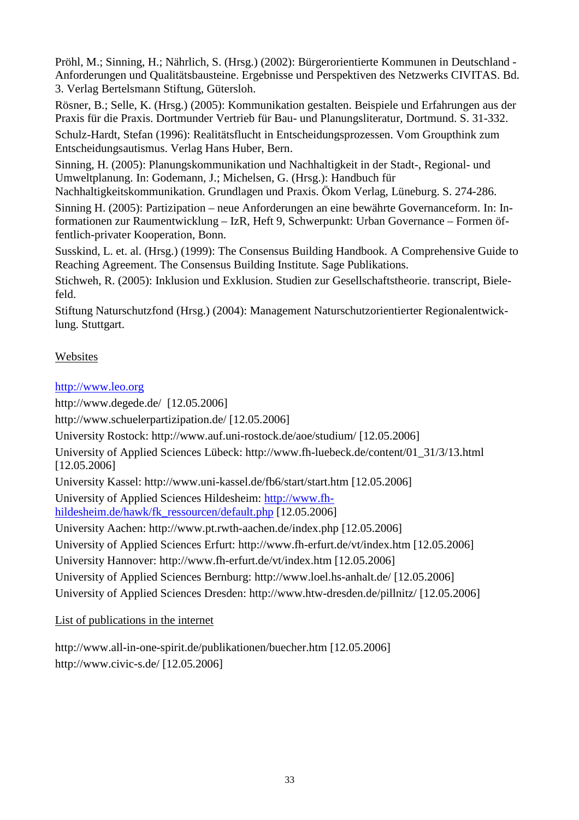Pröhl, M.; Sinning, H.; Nährlich, S. (Hrsg.) (2002): Bürgerorientierte Kommunen in Deutschland - Anforderungen und Qualitätsbausteine. Ergebnisse und Perspektiven des Netzwerks CIVITAS. Bd. 3. Verlag Bertelsmann Stiftung, Gütersloh.

Rösner, B.; Selle, K. (Hrsg.) (2005): Kommunikation gestalten. Beispiele und Erfahrungen aus der Praxis für die Praxis. Dortmunder Vertrieb für Bau- und Planungsliteratur, Dortmund. S. 31-332.

Schulz-Hardt, Stefan (1996): Realitätsflucht in Entscheidungsprozessen. Vom Groupthink zum Entscheidungsautismus. Verlag Hans Huber, Bern.

Sinning, H. (2005): Planungskommunikation und Nachhaltigkeit in der Stadt-, Regional- und Umweltplanung. In: Godemann, J.; Michelsen, G. (Hrsg.): Handbuch für

Nachhaltigkeitskommunikation. Grundlagen und Praxis. Ökom Verlag, Lüneburg. S. 274-286.

Sinning H. (2005): Partizipation – neue Anforderungen an eine bewährte Governanceform. In: Informationen zur Raumentwicklung – IzR, Heft 9, Schwerpunkt: Urban Governance – Formen öffentlich-privater Kooperation, Bonn.

Susskind, L. et. al. (Hrsg.) (1999): The Consensus Building Handbook. A Comprehensive Guide to Reaching Agreement. The Consensus Building Institute. Sage Publikations.

Stichweh, R. (2005): Inklusion und Exklusion. Studien zur Gesellschaftstheorie. transcript, Bielefeld.

Stiftung Naturschutzfond (Hrsg.) (2004): Management Naturschutzorientierter Regionalentwicklung. Stuttgart.

### Websites

### http://www.leo.org

http://www.degede.de/ [12.05.2006]

http://www.schuelerpartizipation.de/ [12.05.2006]

University Rostock: http://www.auf.uni-rostock.de/aoe/studium/ [12.05.2006]

University of Applied Sciences Lübeck: http://www.fh-luebeck.de/content/01\_31/3/13.html [12.05.2006]

University Kassel: http://www.uni-kassel.de/fb6/start/start.htm [12.05.2006]

University of Applied Sciences Hildesheim: http://www.fhhildesheim.de/hawk/fk\_ressourcen/default.php [12.05.2006]

University Aachen: http://www.pt.rwth-aachen.de/index.php [12.05.2006]

University of Applied Sciences Erfurt: http://www.fh-erfurt.de/vt/index.htm [12.05.2006]

University Hannover: http://www.fh-erfurt.de/vt/index.htm [12.05.2006]

University of Applied Sciences Bernburg: http://www.loel.hs-anhalt.de/ [12.05.2006]

University of Applied Sciences Dresden: http://www.htw-dresden.de/pillnitz/ [12.05.2006]

List of publications in the internet

http://www.all-in-one-spirit.de/publikationen/buecher.htm [12.05.2006] http://www.civic-s.de/ [12.05.2006]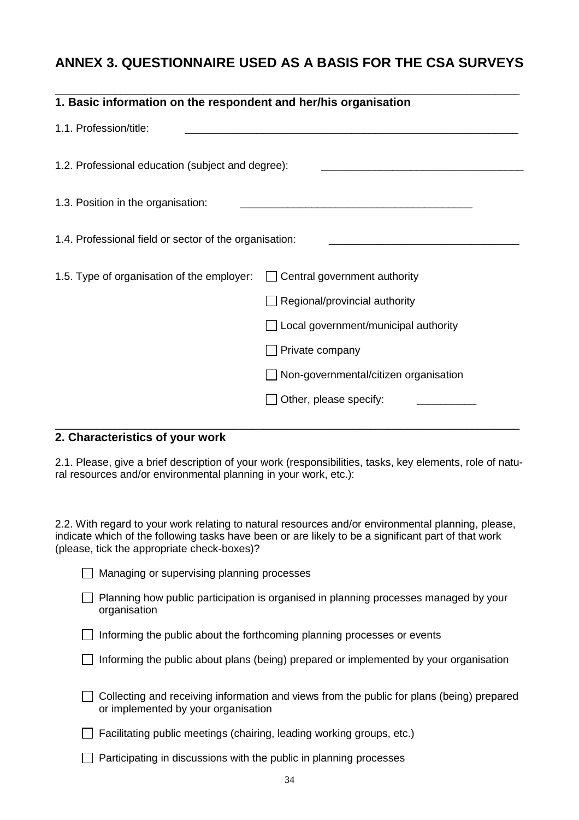### **ANNEX 3. QUESTIONNAIRE USED AS A BASIS FOR THE CSA SURVEYS**

| 1. Basic information on the respondent and her/his organisation |                                              |
|-----------------------------------------------------------------|----------------------------------------------|
| 1.1. Profession/title:                                          |                                              |
| 1.2. Professional education (subject and degree):               |                                              |
| 1.3. Position in the organisation:                              |                                              |
| 1.4. Professional field or sector of the organisation:          |                                              |
| 1.5. Type of organisation of the employer:                      | Central government authority                 |
|                                                                 | $\Box$ Regional/provincial authority         |
|                                                                 | Local government/municipal authority         |
|                                                                 | Private company                              |
|                                                                 | $\Box$ Non-governmental/citizen organisation |
|                                                                 | Other, please specify:                       |
|                                                                 |                                              |

### **2. Characteristics of your work**

2.1. Please, give a brief description of your work (responsibilities, tasks, key elements, role of natural resources and/or environmental planning in your work, etc.):

2.2. With regard to your work relating to natural resources and/or environmental planning, please, indicate which of the following tasks have been or are likely to be a significant part of that work (please, tick the appropriate check-boxes)?

|  | Managing or supervising planning processes |  |
|--|--------------------------------------------|--|
|  |                                            |  |

 $\Box$  Planning how public participation is organised in planning processes managed by your organisation

 $\Box$  Informing the public about the forthcoming planning processes or events

 $\Box$  Informing the public about plans (being) prepared or implemented by your organisation

| $\Box$ Collecting and receiving information and views from the public for plans (being) prepared |  |
|--------------------------------------------------------------------------------------------------|--|
| or implemented by your organisation                                                              |  |

 $\Box$  Facilitating public meetings (chairing, leading working groups, etc.)

 $\Box$  Participating in discussions with the public in planning processes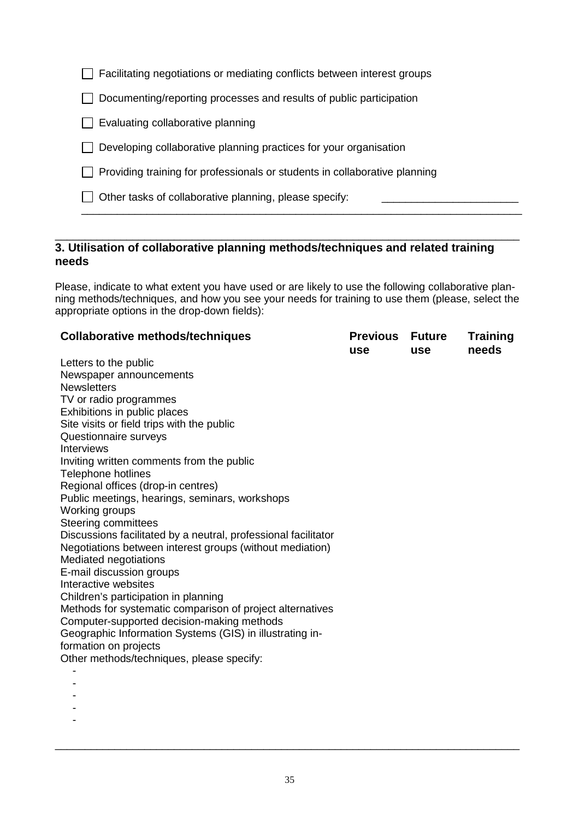$\Box$  Facilitating negotiations or mediating conflicts between interest groups

 $\Box$  Documenting/reporting processes and results of public participation

 $\Box$  Evaluating collaborative planning

 $\Box$  Developing collaborative planning practices for your organisation

 $\Box$  Providing training for professionals or students in collaborative planning

 $\Box$  Other tasks of collaborative planning, please specify:

#### \_\_\_\_\_\_\_\_\_\_\_\_\_\_\_\_\_\_\_\_\_\_\_\_\_\_\_\_\_\_\_\_\_\_\_\_\_\_\_\_\_\_\_\_\_\_\_\_\_\_\_\_\_\_\_\_\_\_\_\_\_\_\_\_\_\_\_\_\_\_\_\_\_\_\_\_\_\_ **3. Utilisation of collaborative planning methods/techniques and related training needs**

Please, indicate to what extent you have used or are likely to use the following collaborative planning methods/techniques, and how you see your needs for training to use them (please, select the appropriate options in the drop-down fields):

\_\_\_\_\_\_\_\_\_\_\_\_\_\_\_\_\_\_\_\_\_\_\_\_\_\_\_\_\_\_\_\_\_\_\_\_\_\_\_\_\_\_\_\_\_\_\_\_\_\_\_\_\_\_\_\_\_\_\_\_\_\_\_\_\_\_\_\_\_\_\_\_\_\_

| <b>Collaborative methods/techniques</b>                        | <b>Previous</b><br>use | <b>Future</b><br><b>use</b> | <b>Training</b><br>needs |
|----------------------------------------------------------------|------------------------|-----------------------------|--------------------------|
| Letters to the public                                          |                        |                             |                          |
| Newspaper announcements                                        |                        |                             |                          |
| <b>Newsletters</b>                                             |                        |                             |                          |
| TV or radio programmes                                         |                        |                             |                          |
| Exhibitions in public places                                   |                        |                             |                          |
| Site visits or field trips with the public                     |                        |                             |                          |
| Questionnaire surveys                                          |                        |                             |                          |
| Interviews                                                     |                        |                             |                          |
| Inviting written comments from the public                      |                        |                             |                          |
| Telephone hotlines                                             |                        |                             |                          |
| Regional offices (drop-in centres)                             |                        |                             |                          |
| Public meetings, hearings, seminars, workshops                 |                        |                             |                          |
| Working groups                                                 |                        |                             |                          |
| <b>Steering committees</b>                                     |                        |                             |                          |
| Discussions facilitated by a neutral, professional facilitator |                        |                             |                          |
| Negotiations between interest groups (without mediation)       |                        |                             |                          |
| Mediated negotiations                                          |                        |                             |                          |
| E-mail discussion groups                                       |                        |                             |                          |
| Interactive websites                                           |                        |                             |                          |
| Children's participation in planning                           |                        |                             |                          |
| Methods for systematic comparison of project alternatives      |                        |                             |                          |
| Computer-supported decision-making methods                     |                        |                             |                          |
| Geographic Information Systems (GIS) in illustrating in-       |                        |                             |                          |
| formation on projects                                          |                        |                             |                          |
| Other methods/techniques, please specify:                      |                        |                             |                          |
|                                                                |                        |                             |                          |
|                                                                |                        |                             |                          |

- -
- -

\_\_\_\_\_\_\_\_\_\_\_\_\_\_\_\_\_\_\_\_\_\_\_\_\_\_\_\_\_\_\_\_\_\_\_\_\_\_\_\_\_\_\_\_\_\_\_\_\_\_\_\_\_\_\_\_\_\_\_\_\_\_\_\_\_\_\_\_\_\_\_\_\_\_\_\_\_\_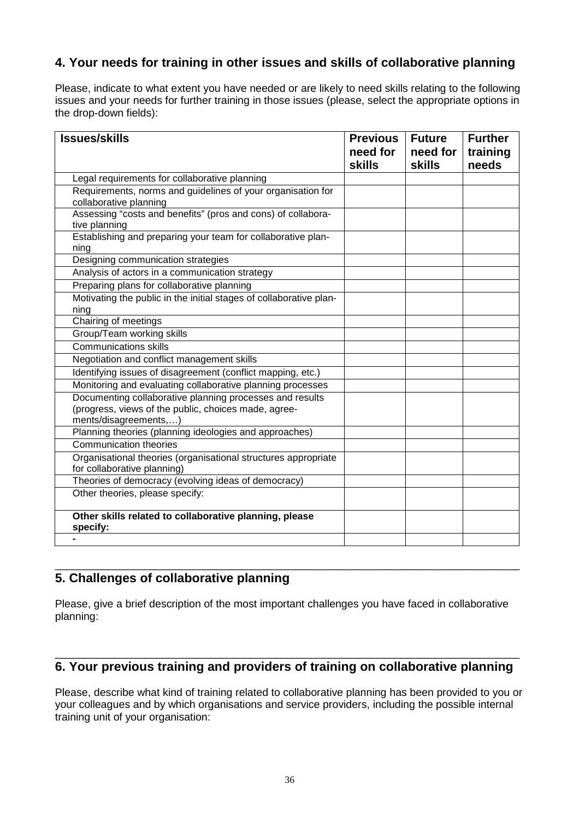### **4. Your needs for training in other issues and skills of collaborative planning**

Please, indicate to what extent you have needed or are likely to need skills relating to the following issues and your needs for further training in those issues (please, select the appropriate options in the drop-down fields):

| <b>Issues/skills</b>                                                                                                                      | <b>Previous</b><br>need for<br><b>skills</b> | <b>Future</b><br>need for<br><b>skills</b> | <b>Further</b><br>training<br>needs |
|-------------------------------------------------------------------------------------------------------------------------------------------|----------------------------------------------|--------------------------------------------|-------------------------------------|
| Legal requirements for collaborative planning                                                                                             |                                              |                                            |                                     |
| Requirements, norms and guidelines of your organisation for<br>collaborative planning                                                     |                                              |                                            |                                     |
| Assessing "costs and benefits" (pros and cons) of collabora-<br>tive planning                                                             |                                              |                                            |                                     |
| Establishing and preparing your team for collaborative plan-<br>ning                                                                      |                                              |                                            |                                     |
| Designing communication strategies                                                                                                        |                                              |                                            |                                     |
| Analysis of actors in a communication strategy                                                                                            |                                              |                                            |                                     |
| Preparing plans for collaborative planning                                                                                                |                                              |                                            |                                     |
| Motivating the public in the initial stages of collaborative plan-<br>ning                                                                |                                              |                                            |                                     |
| Chairing of meetings                                                                                                                      |                                              |                                            |                                     |
| Group/Team working skills                                                                                                                 |                                              |                                            |                                     |
| <b>Communications skills</b>                                                                                                              |                                              |                                            |                                     |
| Negotiation and conflict management skills                                                                                                |                                              |                                            |                                     |
| Identifying issues of disagreement (conflict mapping, etc.)                                                                               |                                              |                                            |                                     |
| Monitoring and evaluating collaborative planning processes                                                                                |                                              |                                            |                                     |
| Documenting collaborative planning processes and results<br>(progress, views of the public, choices made, agree-<br>ments/disagreements,) |                                              |                                            |                                     |
| Planning theories (planning ideologies and approaches)                                                                                    |                                              |                                            |                                     |
| <b>Communication theories</b>                                                                                                             |                                              |                                            |                                     |
| Organisational theories (organisational structures appropriate<br>for collaborative planning)                                             |                                              |                                            |                                     |
| Theories of democracy (evolving ideas of democracy)                                                                                       |                                              |                                            |                                     |
| Other theories, please specify:                                                                                                           |                                              |                                            |                                     |
| Other skills related to collaborative planning, please<br>specify:                                                                        |                                              |                                            |                                     |
|                                                                                                                                           |                                              |                                            |                                     |

### **5. Challenges of collaborative planning**

Please, give a brief description of the most important challenges you have faced in collaborative planning:

\_\_\_\_\_\_\_\_\_\_\_\_\_\_\_\_\_\_\_\_\_\_\_\_\_\_\_\_\_\_\_\_\_\_\_\_\_\_\_\_\_\_\_\_\_\_\_\_\_\_\_\_\_\_\_\_\_\_\_\_\_\_\_\_\_\_\_\_\_\_\_\_\_\_\_\_\_\_

#### \_\_\_\_\_\_\_\_\_\_\_\_\_\_\_\_\_\_\_\_\_\_\_\_\_\_\_\_\_\_\_\_\_\_\_\_\_\_\_\_\_\_\_\_\_\_\_\_\_\_\_\_\_\_\_\_\_\_\_\_\_\_\_\_\_\_\_\_\_\_\_\_\_\_\_\_\_\_ **6. Your previous training and providers of training on collaborative planning**

Please, describe what kind of training related to collaborative planning has been provided to you or your colleagues and by which organisations and service providers, including the possible internal training unit of your organisation: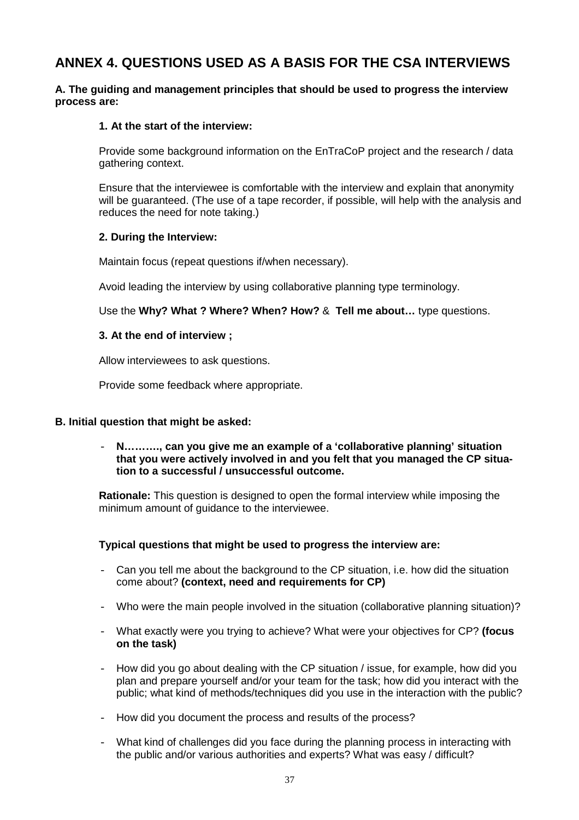### **ANNEX 4. QUESTIONS USED AS A BASIS FOR THE CSA INTERVIEWS**

### **A. The guiding and management principles that should be used to progress the interview process are:**

### **1. At the start of the interview:**

Provide some background information on the EnTraCoP project and the research / data gathering context.

Ensure that the interviewee is comfortable with the interview and explain that anonymity will be guaranteed. (The use of a tape recorder, if possible, will help with the analysis and reduces the need for note taking.)

#### **2. During the Interview:**

Maintain focus (repeat questions if/when necessary).

Avoid leading the interview by using collaborative planning type terminology.

Use the **Why? What ? Where? When? How?** & **Tell me about…** type questions.

#### **3. At the end of interview ;**

Allow interviewees to ask questions.

Provide some feedback where appropriate.

### **B. Initial question that might be asked:**

- **N………., can you give me an example of a 'collaborative planning' situation that you were actively involved in and you felt that you managed the CP situation to a successful / unsuccessful outcome.** 

**Rationale:** This question is designed to open the formal interview while imposing the minimum amount of guidance to the interviewee.

#### **Typical questions that might be used to progress the interview are:**

- Can you tell me about the background to the CP situation, i.e. how did the situation come about? **(context, need and requirements for CP)**
- Who were the main people involved in the situation (collaborative planning situation)?
- What exactly were you trying to achieve? What were your objectives for CP? **(focus on the task)**
- How did you go about dealing with the CP situation / issue, for example, how did you plan and prepare yourself and/or your team for the task; how did you interact with the public; what kind of methods/techniques did you use in the interaction with the public?
- How did you document the process and results of the process?
- What kind of challenges did you face during the planning process in interacting with the public and/or various authorities and experts? What was easy / difficult?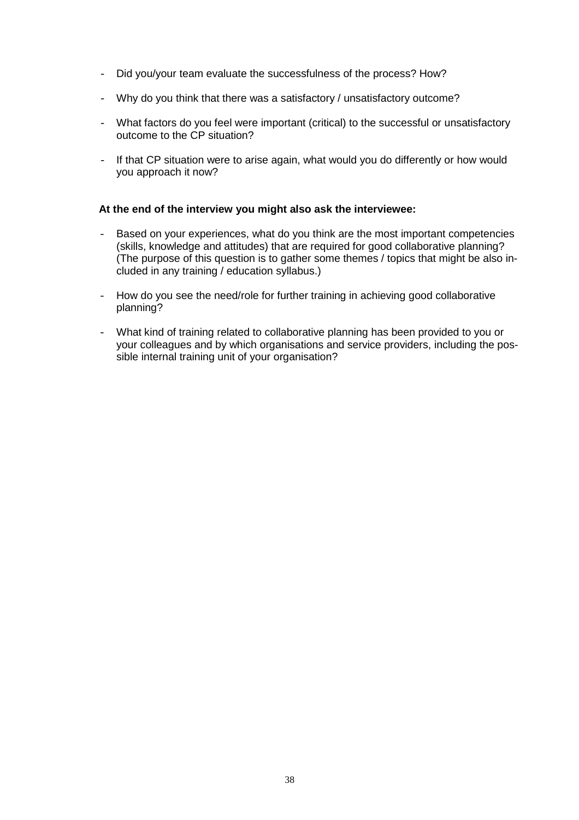- Did you/your team evaluate the successfulness of the process? How?
- Why do you think that there was a satisfactory / unsatisfactory outcome?
- What factors do you feel were important (critical) to the successful or unsatisfactory outcome to the CP situation?
- If that CP situation were to arise again, what would you do differently or how would you approach it now?

#### **At the end of the interview you might also ask the interviewee:**

- Based on your experiences, what do you think are the most important competencies (skills, knowledge and attitudes) that are required for good collaborative planning? (The purpose of this question is to gather some themes / topics that might be also included in any training / education syllabus.)
- How do you see the need/role for further training in achieving good collaborative planning?
- What kind of training related to collaborative planning has been provided to you or your colleagues and by which organisations and service providers, including the possible internal training unit of your organisation?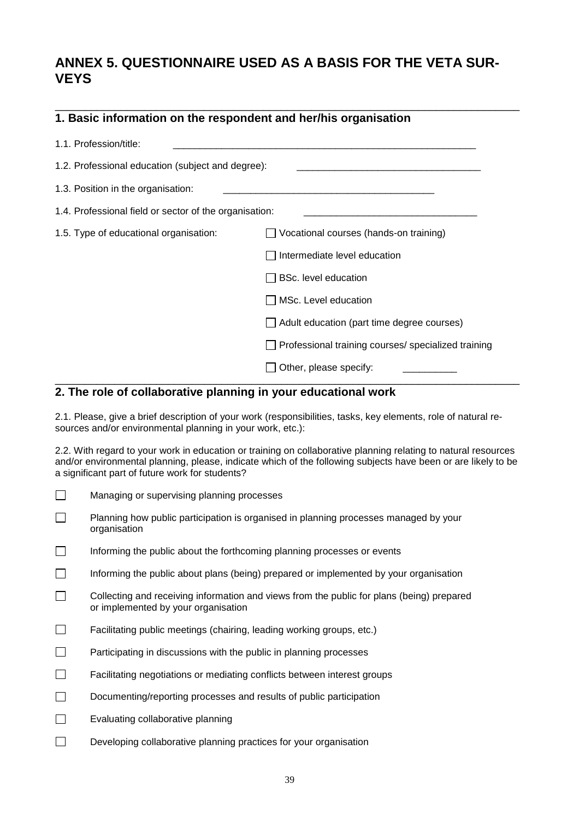### **ANNEX 5. QUESTIONNAIRE USED AS A BASIS FOR THE VETA SUR-VEYS**

| 1. Basic information on the respondent and her/his organisation |                                                            |
|-----------------------------------------------------------------|------------------------------------------------------------|
| 1.1. Profession/title:                                          |                                                            |
| 1.2. Professional education (subject and degree):               |                                                            |
| 1.3. Position in the organisation:                              | <u> 1980 - Jan James Barnett, fransk politik (d. 1980)</u> |
| 1.4. Professional field or sector of the organisation:          |                                                            |
| 1.5. Type of educational organisation:                          | Vocational courses (hands-on training)                     |
|                                                                 | Intermediate level education                               |
|                                                                 | <b>BSc.</b> level education                                |
|                                                                 | MSc. Level education                                       |
|                                                                 | $\Box$ Adult education (part time degree courses)          |
|                                                                 | □ Professional training courses/ specialized training      |
|                                                                 | Other, please specify:                                     |

### **2. The role of collaborative planning in your educational work**

2.1. Please, give a brief description of your work (responsibilities, tasks, key elements, role of natural resources and/or environmental planning in your work, etc.):

\_\_\_\_\_\_\_\_\_\_\_\_\_\_\_\_\_\_\_\_\_\_\_\_\_\_\_\_\_\_\_\_\_\_\_\_\_\_\_\_\_\_\_\_\_\_\_\_\_\_\_\_\_\_\_\_\_\_\_\_\_\_\_\_\_\_\_\_\_\_\_\_\_\_\_\_\_\_

2.2. With regard to your work in education or training on collaborative planning relating to natural resources and/or environmental planning, please, indicate which of the following subjects have been or are likely to be a significant part of future work for students?

- Managing or supervising planning processes
- **Planning how public participation is organised in planning processes managed by your** organisation
- $\Box$  Informing the public about the forthcoming planning processes or events
- $\Box$  Informing the public about plans (being) prepared or implemented by your organisation
- $\Box$  Collecting and receiving information and views from the public for plans (being) prepared or implemented by your organisation
- $\Box$  Facilitating public meetings (chairing, leading working groups, etc.)
- $\Box$  Participating in discussions with the public in planning processes
- Facilitating negotiations or mediating conflicts between interest groups
- Documenting/reporting processes and results of public participation
- $\Box$  Evaluating collaborative planning
- $\square$  Developing collaborative planning practices for your organisation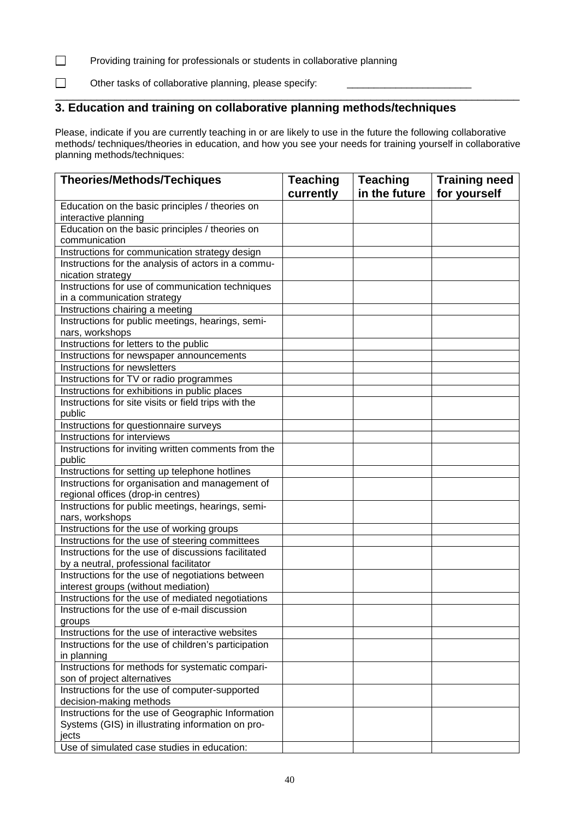### Providing training for professionals or students in collaborative planning

 $\Box$  Other tasks of collaborative planning, please specify:

#### \_\_\_\_\_\_\_\_\_\_\_\_\_\_\_\_\_\_\_\_\_\_\_\_\_\_\_\_\_\_\_\_\_\_\_\_\_\_\_\_\_\_\_\_\_\_\_\_\_\_\_\_\_\_\_\_\_\_\_\_\_\_\_\_\_\_\_\_\_\_\_\_\_\_\_\_\_\_ **3. Education and training on collaborative planning methods/techniques**

Please, indicate if you are currently teaching in or are likely to use in the future the following collaborative methods/ techniques/theories in education, and how you see your needs for training yourself in collaborative planning methods/techniques:

| <b>Theories/Methods/Techiques</b>                                                                  | <b>Teaching</b> | <b>Teaching</b> | <b>Training need</b> |
|----------------------------------------------------------------------------------------------------|-----------------|-----------------|----------------------|
|                                                                                                    | currently       | in the future   | for yourself         |
| Education on the basic principles / theories on                                                    |                 |                 |                      |
| interactive planning                                                                               |                 |                 |                      |
| Education on the basic principles / theories on                                                    |                 |                 |                      |
| communication                                                                                      |                 |                 |                      |
| Instructions for communication strategy design                                                     |                 |                 |                      |
| Instructions for the analysis of actors in a commu-                                                |                 |                 |                      |
| nication strategy                                                                                  |                 |                 |                      |
| Instructions for use of communication techniques                                                   |                 |                 |                      |
| in a communication strategy                                                                        |                 |                 |                      |
| Instructions chairing a meeting                                                                    |                 |                 |                      |
| Instructions for public meetings, hearings, semi-                                                  |                 |                 |                      |
| nars, workshops                                                                                    |                 |                 |                      |
| Instructions for letters to the public                                                             |                 |                 |                      |
| Instructions for newspaper announcements                                                           |                 |                 |                      |
| Instructions for newsletters                                                                       |                 |                 |                      |
| Instructions for TV or radio programmes                                                            |                 |                 |                      |
| Instructions for exhibitions in public places                                                      |                 |                 |                      |
| Instructions for site visits or field trips with the                                               |                 |                 |                      |
| public                                                                                             |                 |                 |                      |
| Instructions for questionnaire surveys                                                             |                 |                 |                      |
| Instructions for interviews                                                                        |                 |                 |                      |
| Instructions for inviting written comments from the                                                |                 |                 |                      |
| public                                                                                             |                 |                 |                      |
| Instructions for setting up telephone hotlines                                                     |                 |                 |                      |
| Instructions for organisation and management of                                                    |                 |                 |                      |
| regional offices (drop-in centres)                                                                 |                 |                 |                      |
| Instructions for public meetings, hearings, semi-                                                  |                 |                 |                      |
| nars, workshops                                                                                    |                 |                 |                      |
| Instructions for the use of working groups                                                         |                 |                 |                      |
| Instructions for the use of steering committees                                                    |                 |                 |                      |
| Instructions for the use of discussions facilitated                                                |                 |                 |                      |
| by a neutral, professional facilitator                                                             |                 |                 |                      |
| Instructions for the use of negotiations between                                                   |                 |                 |                      |
| interest groups (without mediation)                                                                |                 |                 |                      |
| Instructions for the use of mediated negotiations<br>Instructions for the use of e-mail discussion |                 |                 |                      |
|                                                                                                    |                 |                 |                      |
| groups<br>Instructions for the use of interactive websites                                         |                 |                 |                      |
| Instructions for the use of children's participation                                               |                 |                 |                      |
| in planning                                                                                        |                 |                 |                      |
| Instructions for methods for systematic compari-                                                   |                 |                 |                      |
| son of project alternatives                                                                        |                 |                 |                      |
| Instructions for the use of computer-supported                                                     |                 |                 |                      |
| decision-making methods                                                                            |                 |                 |                      |
| Instructions for the use of Geographic Information                                                 |                 |                 |                      |
| Systems (GIS) in illustrating information on pro-                                                  |                 |                 |                      |
| jects                                                                                              |                 |                 |                      |
| Use of simulated case studies in education:                                                        |                 |                 |                      |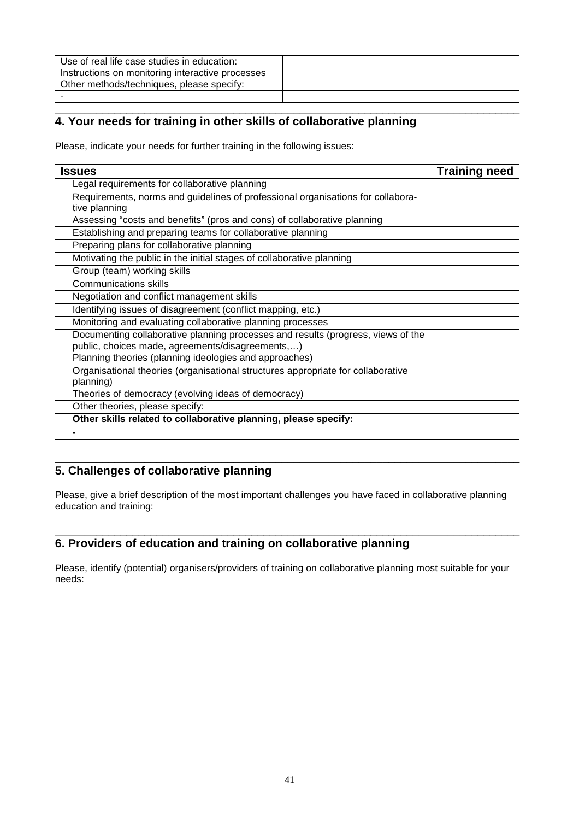| Use of real life case studies in education:      |  |  |
|--------------------------------------------------|--|--|
| Instructions on monitoring interactive processes |  |  |
| Other methods/techniques, please specify:        |  |  |
|                                                  |  |  |

#### \_\_\_\_\_\_\_\_\_\_\_\_\_\_\_\_\_\_\_\_\_\_\_\_\_\_\_\_\_\_\_\_\_\_\_\_\_\_\_\_\_\_\_\_\_\_\_\_\_\_\_\_\_\_\_\_\_\_\_\_\_\_\_\_\_\_\_\_\_\_\_\_\_\_\_\_\_\_ **4. Your needs for training in other skills of collaborative planning**

Please, indicate your needs for further training in the following issues:

| <b>Issues</b>                                                                                 | <b>Training need</b> |
|-----------------------------------------------------------------------------------------------|----------------------|
| Legal requirements for collaborative planning                                                 |                      |
| Requirements, norms and guidelines of professional organisations for collabora-               |                      |
| tive planning                                                                                 |                      |
| Assessing "costs and benefits" (pros and cons) of collaborative planning                      |                      |
| Establishing and preparing teams for collaborative planning                                   |                      |
| Preparing plans for collaborative planning                                                    |                      |
| Motivating the public in the initial stages of collaborative planning                         |                      |
| Group (team) working skills                                                                   |                      |
| <b>Communications skills</b>                                                                  |                      |
| Negotiation and conflict management skills                                                    |                      |
| Identifying issues of disagreement (conflict mapping, etc.)                                   |                      |
| Monitoring and evaluating collaborative planning processes                                    |                      |
| Documenting collaborative planning processes and results (progress, views of the              |                      |
| public, choices made, agreements/disagreements,)                                              |                      |
| Planning theories (planning ideologies and approaches)                                        |                      |
| Organisational theories (organisational structures appropriate for collaborative<br>planning) |                      |
| Theories of democracy (evolving ideas of democracy)                                           |                      |
|                                                                                               |                      |
| Other theories, please specify:                                                               |                      |
| Other skills related to collaborative planning, please specify:                               |                      |
|                                                                                               |                      |

#### \_\_\_\_\_\_\_\_\_\_\_\_\_\_\_\_\_\_\_\_\_\_\_\_\_\_\_\_\_\_\_\_\_\_\_\_\_\_\_\_\_\_\_\_\_\_\_\_\_\_\_\_\_\_\_\_\_\_\_\_\_\_\_\_\_\_\_\_\_\_\_\_\_\_\_\_\_\_ **5. Challenges of collaborative planning**

Please, give a brief description of the most important challenges you have faced in collaborative planning education and training:

\_\_\_\_\_\_\_\_\_\_\_\_\_\_\_\_\_\_\_\_\_\_\_\_\_\_\_\_\_\_\_\_\_\_\_\_\_\_\_\_\_\_\_\_\_\_\_\_\_\_\_\_\_\_\_\_\_\_\_\_\_\_\_\_\_\_\_\_\_\_\_\_\_\_\_\_\_\_

### **6. Providers of education and training on collaborative planning**

Please, identify (potential) organisers/providers of training on collaborative planning most suitable for your needs: